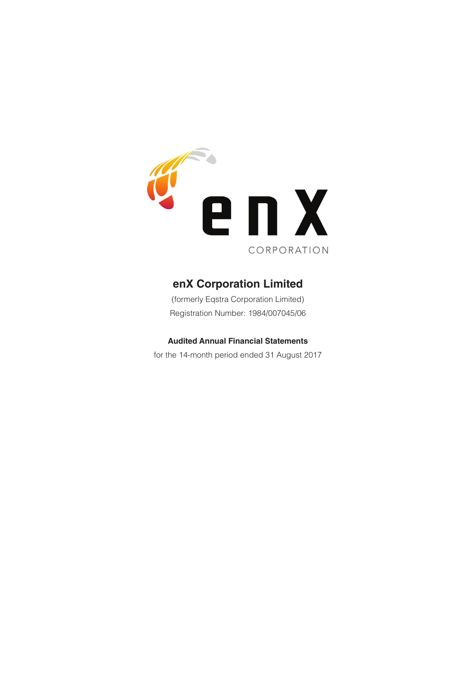

# **enX Corporation Limited**

(formerly Eqstra Corporation Limited) Registration Number: 1984/007045/06

### **Audited Annual Financial Statements**

for the 14-month period ended 31 August 2017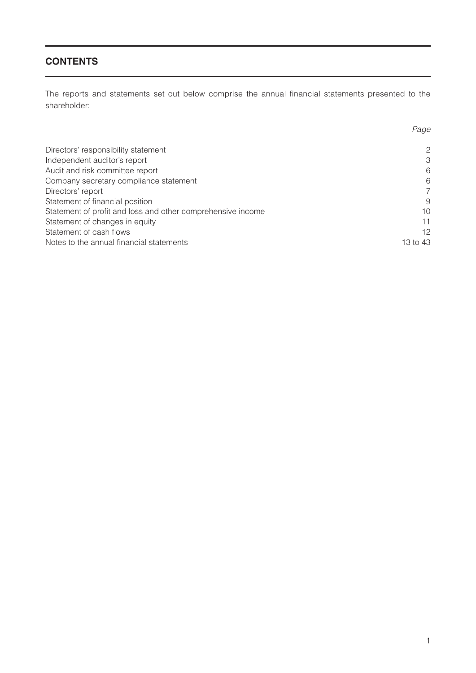# **CONTENTS**

The reports and statements set out below comprise the annual financial statements presented to the shareholder:

|                                                             | Page     |
|-------------------------------------------------------------|----------|
| Directors' responsibility statement                         | 2        |
| Independent auditor's report                                | 3        |
| Audit and risk committee report                             | 6        |
| Company secretary compliance statement                      | 6        |
| Directors' report                                           | 7        |
| Statement of financial position                             | 9        |
| Statement of profit and loss and other comprehensive income | 10       |
| Statement of changes in equity                              | 11       |
| Statement of cash flows                                     | 12       |
| Notes to the annual financial statements                    | 13 to 43 |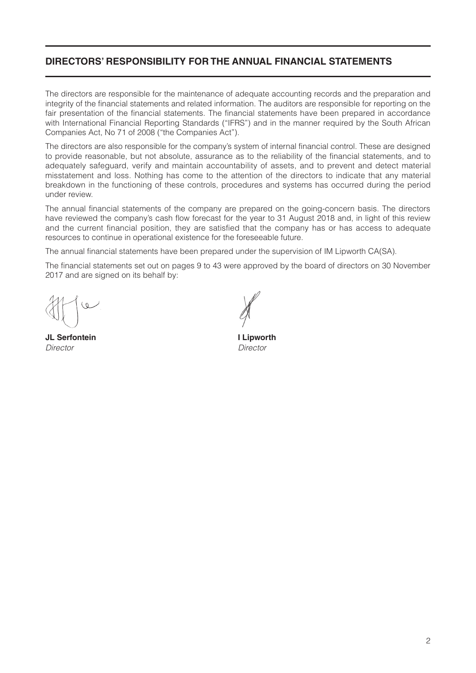# **DIRECTORS' RESPONSIBILITY FOR THE ANNUAL FINANCIAL STATEMENTS**

The directors are responsible for the maintenance of adequate accounting records and the preparation and integrity of the financial statements and related information. The auditors are responsible for reporting on the fair presentation of the financial statements. The financial statements have been prepared in accordance with International Financial Reporting Standards ("IFRS") and in the manner required by the South African Companies Act, No 71 of 2008 ("the Companies Act").

The directors are also responsible for the company's system of internal financial control. These are designed to provide reasonable, but not absolute, assurance as to the reliability of the financial statements, and to adequately safeguard, verify and maintain accountability of assets, and to prevent and detect material misstatement and loss. Nothing has come to the attention of the directors to indicate that any material breakdown in the functioning of these controls, procedures and systems has occurred during the period under review.

The annual financial statements of the company are prepared on the going-concern basis. The directors have reviewed the company's cash flow forecast for the year to 31 August 2018 and, in light of this review and the current financial position, they are satisfied that the company has or has access to adequate resources to continue in operational existence for the foreseeable future.

The annual financial statements have been prepared under the supervision of IM Lipworth CA(SA).

The financial statements set out on pages 9 to 43 were approved by the board of directors on 30 November 2017 and are signed on its behalf by:

**JL Serfontein I Lipworth** *Director Director*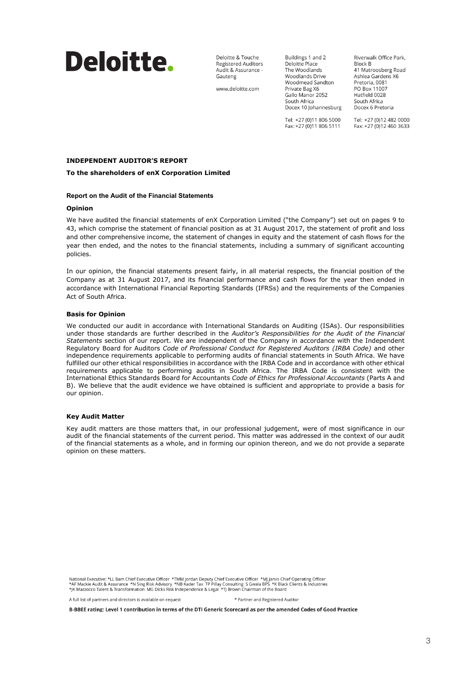# **Deloitte.**

Deloitte & Touche Registered Auditors Audit & Assurance -Gauteng

www.deloitte.com

Buildings 1 and 2 Deloitte Place The Woodlands **Woodlands Drive Woodmead Sandton** Private Bag X6 Gallo Manor 2052 South Africa Docex 10 Johannesburg

Tel: +27 (0)11 806 5000 Fax: +27 (0)11 806 5111 Riverwalk Office Park, **Block B** 41 Matroosberg Road Ashlea Gardens X6 Pretoria, 0081 PO Box 11007 Hatfield 0028 South Africa Docex 6 Pretoria

Tel: +27 (0)12 482 0000 Fax:  $+27$  (0)12 460 3633

#### **INDEPENDENT AUDITOR'S REPORT**

#### **To the shareholders of enX Corporation Limited**

#### **Report on the Audit of the Financial Statements**

#### **Opinion**

We have audited the financial statements of enX Corporation Limited ("the Company") set out on pages 9 to 43, which comprise the statement of financial position as at 31 August 2017, the statement of profit and loss and other comprehensive income, the statement of changes in equity and the statement of cash flows for the year then ended, and the notes to the financial statements, including a summary of significant accounting policies.

In our opinion, the financial statements present fairly, in all material respects, the financial position of the Company as at 31 August 2017, and its financial performance and cash flows for the year then ended in accordance with International Financial Reporting Standards (IFRSs) and the requirements of the Companies Act of South Africa.

#### **Basis for Opinion**

We conducted our audit in accordance with International Standards on Auditing (ISAs). Our responsibilities under those standards are further described in the *Auditor's Responsibilities for the Audit of the Financial Statements* section of our report. We are independent of the Company in accordance with the Independent Regulatory Board for Auditors *Code of Professional Conduct for Registered Auditors (IRBA Code)* and other independence requirements applicable to performing audits of financial statements in South Africa. We have fulfilled our other ethical responsibilities in accordance with the IRBA Code and in accordance with other ethical requirements applicable to performing audits in South Africa. The IRBA Code is consistent with the International Ethics Standards Board for Accountants *Code of Ethics for Professional Accountants* (Parts A and B). We believe that the audit evidence we have obtained is sufficient and appropriate to provide a basis for our opinion.

#### **Key Audit Matter**

Key audit matters are those matters that, in our professional judgement, were of most significance in our audit of the financial statements of the current period. This matter was addressed in the context of our audit of the financial statements as a whole, and in forming our opinion thereon, and we do not provide a separate opinion on these matters.

National Executive: \*LL Bam Chief Executive Officer \*TMM Jordan Deputy Chief Executive Officer \*MJ Jarvis Chief Operating Officer \*AF Mackie Audit & Assurance \*N Sing Risk Advisory \*NB Kader Tax TP Pillay Consulting S Gwala BPS \*K Black<br>\*JK Mazzocco Talent & Transformation MG Dicks Risk Independence & Legal \*TJ Brown Chairman of the Board \*K Black Clients & Industries

A full list of partners and directors is available on request

\* Partner and Registered Auditor

B-BBEE rating: Level 1 contribution in terms of the DTI Generic Scorecard as per the amended Codes of Good Practice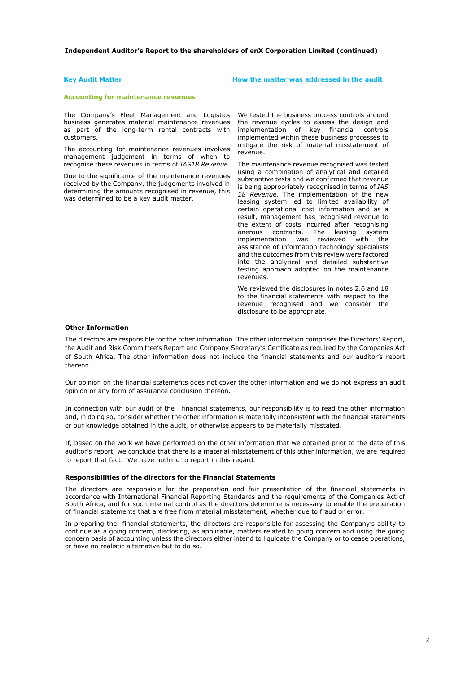#### **Independent Auditor's Report to the shareholders of enX Corporation Limited (continued)**

**Key Audit Matter How the matter was addressed in the audit**

#### **Accounting for maintenance revenues**

The Company's Fleet Management and Logistics business generates material maintenance revenues as part of the long-term rental contracts with customers.

The accounting for maintenance revenues involves management judgement in terms of when to recognise these revenues in terms of *IAS18 Revenue.* 

Due to the significance of the maintenance revenues received by the Company, the judgements involved in determining the amounts recognised in revenue, this was determined to be a key audit matter.

We tested the business process controls around the revenue cycles to assess the design and implementation of key financial controls implemented within these business processes to mitigate the risk of material misstatement of revenue.

The maintenance revenue recognised was tested using a combination of analytical and detailed substantive tests and we confirmed that revenue is being appropriately recognised in terms of *IAS 18 Revenue.* The implementation of the new leasing system led to limited availability of certain operational cost information and as a result, management has recognised revenue to the extent of costs incurred after recognising onerous contracts. The leasing system<br>implementation was reviewed with the reviewed with the assistance of information technology specialists and the outcomes from this review were factored into the analytical and detailed substantive testing approach adopted on the maintenance revenues.

We reviewed the disclosures in notes 2.6 and 18 to the financial statements with respect to the revenue recognised and we consider the disclosure to be appropriate.

#### **Other Information**

The directors are responsible for the other information. The other information comprises the Directors' Report, the Audit and Risk Committee's Report and Company Secretary's Certificate as required by the Companies Act of South Africa. The other information does not include the financial statements and our auditor's report thereon.

Our opinion on the financial statements does not cover the other information and we do not express an audit opinion or any form of assurance conclusion thereon.

In connection with our audit of the financial statements, our responsibility is to read the other information and, in doing so, consider whether the other information is materially inconsistent with the financial statements or our knowledge obtained in the audit, or otherwise appears to be materially misstated.

If, based on the work we have performed on the other information that we obtained prior to the date of this auditor's report, we conclude that there is a material misstatement of this other information, we are required to report that fact. We have nothing to report in this regard.

#### **Responsibilities of the directors for the Financial Statements**

The directors are responsible for the preparation and fair presentation of the financial statements in accordance with International Financial Reporting Standards and the requirements of the Companies Act of South Africa, and for such internal control as the directors determine is necessary to enable the preparation of financial statements that are free from material misstatement, whether due to fraud or error.

In preparing the financial statements, the directors are responsible for assessing the Company's ability to continue as a going concern, disclosing, as applicable, matters related to going concern and using the going concern basis of accounting unless the directors either intend to liquidate the Company or to cease operations, or have no realistic alternative but to do so.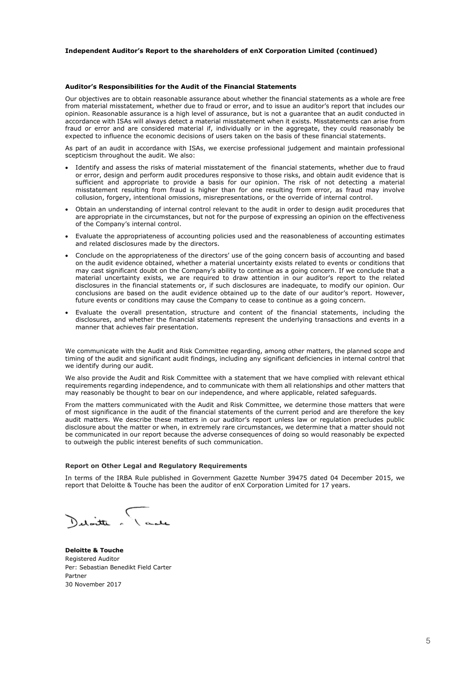#### **Independent Auditor's Report to the shareholders of enX Corporation Limited (continued)**

#### **Auditor's Responsibilities for the Audit of the Financial Statements**

Our objectives are to obtain reasonable assurance about whether the financial statements as a whole are free from material misstatement, whether due to fraud or error, and to issue an auditor's report that includes our opinion. Reasonable assurance is a high level of assurance, but is not a guarantee that an audit conducted in accordance with ISAs will always detect a material misstatement when it exists. Misstatements can arise from fraud or error and are considered material if, individually or in the aggregate, they could reasonably be expected to influence the economic decisions of users taken on the basis of these financial statements.

As part of an audit in accordance with ISAs, we exercise professional judgement and maintain professional scepticism throughout the audit. We also:

- Identify and assess the risks of material misstatement of the financial statements, whether due to fraud or error, design and perform audit procedures responsive to those risks, and obtain audit evidence that is sufficient and appropriate to provide a basis for our opinion. The risk of not detecting a material misstatement resulting from fraud is higher than for one resulting from error, as fraud may involve collusion, forgery, intentional omissions, misrepresentations, or the override of internal control.
- Obtain an understanding of internal control relevant to the audit in order to design audit procedures that are appropriate in the circumstances, but not for the purpose of expressing an opinion on the effectiveness of the Company's internal control.
- Evaluate the appropriateness of accounting policies used and the reasonableness of accounting estimates and related disclosures made by the directors.
- Conclude on the appropriateness of the directors' use of the going concern basis of accounting and based on the audit evidence obtained, whether a material uncertainty exists related to events or conditions that may cast significant doubt on the Company's ability to continue as a going concern. If we conclude that a material uncertainty exists, we are required to draw attention in our auditor's report to the related disclosures in the financial statements or, if such disclosures are inadequate, to modify our opinion. Our conclusions are based on the audit evidence obtained up to the date of our auditor's report. However, future events or conditions may cause the Company to cease to continue as a going concern.
- Evaluate the overall presentation, structure and content of the financial statements, including the disclosures, and whether the financial statements represent the underlying transactions and events in a manner that achieves fair presentation.

We communicate with the Audit and Risk Committee regarding, among other matters, the planned scope and timing of the audit and significant audit findings, including any significant deficiencies in internal control that we identify during our audit.

We also provide the Audit and Risk Committee with a statement that we have complied with relevant ethical requirements regarding independence, and to communicate with them all relationships and other matters that may reasonably be thought to bear on our independence, and where applicable, related safeguards.

From the matters communicated with the Audit and Risk Committee, we determine those matters that were of most significance in the audit of the financial statements of the current period and are therefore the key audit matters. We describe these matters in our auditor's report unless law or regulation precludes public disclosure about the matter or when, in extremely rare circumstances, we determine that a matter should not be communicated in our report because the adverse consequences of doing so would reasonably be expected to outweigh the public interest benefits of such communication.

#### **Report on Other Legal and Regulatory Requirements**

In terms of the IRBA Rule published in Government Gazette Number 39475 dated 04 December 2015, we report that Deloitte & Touche has been the auditor of enX Corporation Limited for 17 years.

 $\vec{u}$  in  $\vec{u}$ 

**Deloitte & Touche**  Registered Auditor Per: Sebastian Benedikt Field Carter Partner 30 November 2017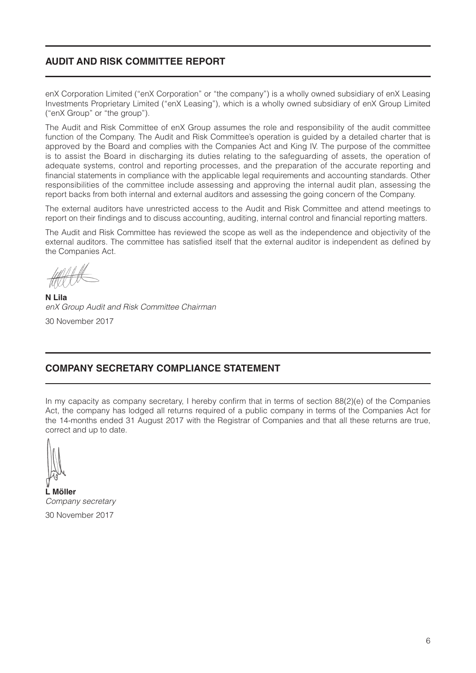# **AUDIT AND RISK COMMITTEE REPORT**

enX Corporation Limited ("enX Corporation" or "the company") is a wholly owned subsidiary of enX Leasing Investments Proprietary Limited ("enX Leasing"), which is a wholly owned subsidiary of enX Group Limited ("enX Group" or "the group").

The Audit and Risk Committee of enX Group assumes the role and responsibility of the audit committee function of the Company. The Audit and Risk Committee's operation is guided by a detailed charter that is approved by the Board and complies with the Companies Act and King IV. The purpose of the committee is to assist the Board in discharging its duties relating to the safeguarding of assets, the operation of adequate systems, control and reporting processes, and the preparation of the accurate reporting and financial statements in compliance with the applicable legal requirements and accounting standards. Other responsibilities of the committee include assessing and approving the internal audit plan, assessing the report backs from both internal and external auditors and assessing the going concern of the Company.

The external auditors have unrestricted access to the Audit and Risk Committee and attend meetings to report on their findings and to discuss accounting, auditing, internal control and financial reporting matters.

The Audit and Risk Committee has reviewed the scope as well as the independence and objectivity of the external auditors. The committee has satisfied itself that the external auditor is independent as defined by the Companies Act.

**N Lila** *enX Group Audit and Risk Committee Chairman* 30 November 2017

# **COMPANY SECRETARY COMPLIANCE STATEMENT**

In my capacity as company secretary, I hereby confirm that in terms of section 88(2)(e) of the Companies Act, the company has lodged all returns required of a public company in terms of the Companies Act for the 14-months ended 31 August 2017 with the Registrar of Companies and that all these returns are true, correct and up to date.

**L Möller** *Company secretary* 30 November 2017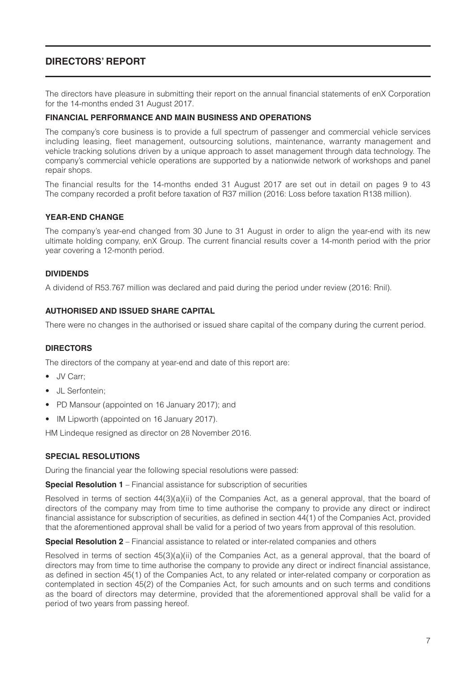# **DIRECTORS' REPORT**

The directors have pleasure in submitting their report on the annual financial statements of enX Corporation for the 14-months ended 31 August 2017.

#### **FINANCIAL PERFORMANCE AND MAIN BUSINESS AND OPERATIONS**

The company's core business is to provide a full spectrum of passenger and commercial vehicle services including leasing, fleet management, outsourcing solutions, maintenance, warranty management and vehicle tracking solutions driven by a unique approach to asset management through data technology. The company's commercial vehicle operations are supported by a nationwide network of workshops and panel repair shops.

The financial results for the 14-months ended 31 August 2017 are set out in detail on pages 9 to 43 The company recorded a profit before taxation of R37 million (2016: Loss before taxation R138 million).

#### **YEAR-END CHANGE**

The company's year-end changed from 30 June to 31 August in order to align the year-end with its new ultimate holding company, enX Group. The current financial results cover a 14-month period with the prior year covering a 12-month period.

#### **DIVIDENDS**

A dividend of R53.767 million was declared and paid during the period under review (2016: Rnil).

#### **AUTHORISED AND ISSUED SHARE CAPITAL**

There were no changes in the authorised or issued share capital of the company during the current period.

#### **DIRECTORS**

The directors of the company at year-end and date of this report are:

- JV Carr;
- JL Serfontein;
- PD Mansour (appointed on 16 January 2017); and
- IM Lipworth (appointed on 16 January 2017).

HM Lindeque resigned as director on 28 November 2016.

#### **SPECIAL RESOLUTIONS**

During the financial year the following special resolutions were passed:

**Special Resolution 1** – Financial assistance for subscription of securities

Resolved in terms of section 44(3)(a)(ii) of the Companies Act, as a general approval, that the board of directors of the company may from time to time authorise the company to provide any direct or indirect financial assistance for subscription of securities, as defined in section 44(1) of the Companies Act, provided that the aforementioned approval shall be valid for a period of two years from approval of this resolution.

**Special Resolution 2** – Financial assistance to related or inter-related companies and others

Resolved in terms of section 45(3)(a)(ii) of the Companies Act, as a general approval, that the board of directors may from time to time authorise the company to provide any direct or indirect financial assistance, as defined in section 45(1) of the Companies Act, to any related or inter-related company or corporation as contemplated in section 45(2) of the Companies Act, for such amounts and on such terms and conditions as the board of directors may determine, provided that the aforementioned approval shall be valid for a period of two years from passing hereof.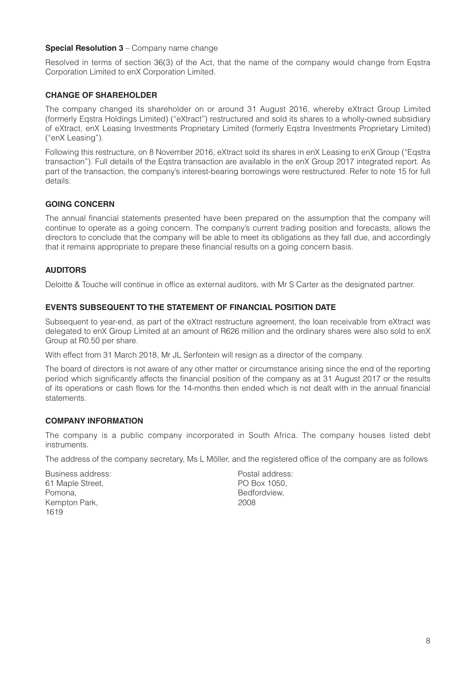#### **Special Resolution 3** – Company name change

Resolved in terms of section 36(3) of the Act, that the name of the company would change from Eqstra Corporation Limited to enX Corporation Limited.

#### **CHANGE OF SHAREHOLDER**

The company changed its shareholder on or around 31 August 2016, whereby eXtract Group Limited (formerly Eqstra Holdings Limited) ("eXtract") restructured and sold its shares to a wholly-owned subsidiary of eXtract, enX Leasing Investments Proprietary Limited (formerly Eqstra Investments Proprietary Limited) ("enX Leasing").

Following this restructure, on 8 November 2016, eXtract sold its shares in enX Leasing to enX Group ("Eqstra transaction"). Full details of the Eqstra transaction are available in the enX Group 2017 integrated report. As part of the transaction, the company's interest-bearing borrowings were restructured. Refer to note 15 for full details.

#### **GOING CONCERN**

The annual financial statements presented have been prepared on the assumption that the company will continue to operate as a going concern. The company's current trading position and forecasts, allows the directors to conclude that the company will be able to meet its obligations as they fall due, and accordingly that it remains appropriate to prepare these financial results on a going concern basis.

#### **AUDITORS**

Deloitte & Touche will continue in office as external auditors, with Mr S Carter as the designated partner.

#### **EVENTS SUBSEQUENT TO THE STATEMENT OF FINANCIAL POSITION DATE**

Subsequent to year-end, as part of the eXtract restructure agreement, the loan receivable from eXtract was delegated to enX Group Limited at an amount of R626 million and the ordinary shares were also sold to enX Group at R0.50 per share.

With effect from 31 March 2018, Mr JL Serfontein will resign as a director of the company.

The board of directors is not aware of any other matter or circumstance arising since the end of the reporting period which significantly affects the financial position of the company as at 31 August 2017 or the results of its operations or cash flows for the 14-months then ended which is not dealt with in the annual financial statements.

#### **COMPANY INFORMATION**

The company is a public company incorporated in South Africa. The company houses listed debt instruments.

The address of the company secretary, Ms L Möller, and the registered office of the company are as follows

Business address: 61 Maple Street, Pomona, Kempton Park, 1619

Postal address: PO Box 1050, Bedfordview, 2008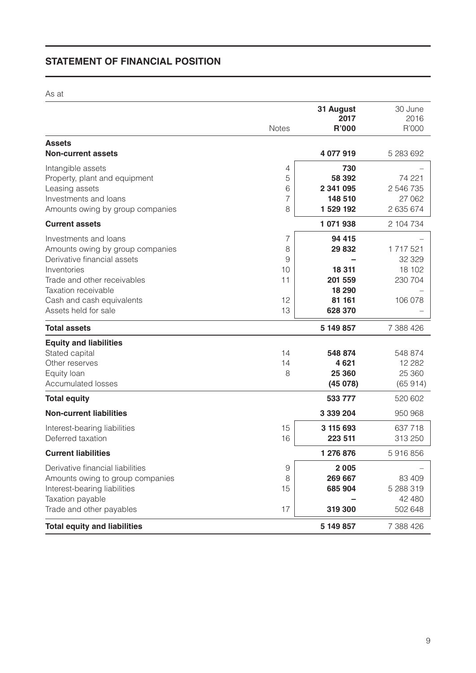# **STATEMENT OF FINANCIAL POSITION**

As at

|                                                    |              | 31 August<br>2017 | 30 June<br>2016 |
|----------------------------------------------------|--------------|-------------------|-----------------|
|                                                    | <b>Notes</b> | <b>R'000</b>      | R'000           |
| <b>Assets</b>                                      |              |                   |                 |
| <b>Non-current assets</b>                          |              | 4 077 919         | 5 283 692       |
| Intangible assets                                  | 4            | 730               |                 |
| Property, plant and equipment                      | 5            | 58 392            | 74 221          |
| Leasing assets                                     | 6            | 2 341 095         | 2 546 735       |
| Investments and loans                              | 7<br>8       | 148 510           | 27 062          |
| Amounts owing by group companies                   |              | 1 529 192         | 2 635 674       |
| <b>Current assets</b>                              |              | 1 071 938         | 2 104 734       |
| Investments and loans                              | 7            | 94 415            |                 |
| Amounts owing by group companies                   | 8            | 29 832            | 1717521         |
| Derivative financial assets                        | $\Theta$     |                   | 32 329          |
| Inventories                                        | 10           | 18 3 11           | 18 102          |
| Trade and other receivables<br>Taxation receivable | 11           | 201 559<br>18 290 | 230 704         |
| Cash and cash equivalents                          | 12           | 81 161            | 106 078         |
| Assets held for sale                               | 13           | 628 370           |                 |
| <b>Total assets</b>                                |              | 5 149 857         | 7 388 426       |
| <b>Equity and liabilities</b>                      |              |                   |                 |
| Stated capital                                     | 14           | 548 874           | 548 874         |
| Other reserves                                     | 14           | 4621              | 12 2 8 2        |
| Equity loan                                        | 8            | 25 360            | 25 360          |
| <b>Accumulated losses</b>                          |              | (45078)           | (65914)         |
| <b>Total equity</b>                                |              | 533 777           | 520 602         |
| <b>Non-current liabilities</b>                     |              | 3 339 204         | 950 968         |
| Interest-bearing liabilities                       | 15           | 3 115 693         | 637 718         |
| Deferred taxation                                  | 16           | 223 511           | 313 250         |
| <b>Current liabilities</b>                         |              | 1 276 876         | 5916856         |
| Derivative financial liabilities                   | 9            | 2005              |                 |
| Amounts owing to group companies                   | 8            | 269 667           | 83 409          |
| Interest-bearing liabilities                       | 15           | 685 904           | 5 288 319       |
| Taxation payable                                   |              |                   | 42 480          |
| Trade and other payables                           | 17           | 319 300           | 502 648         |
| <b>Total equity and liabilities</b>                |              | 5 149 857         | 7 388 426       |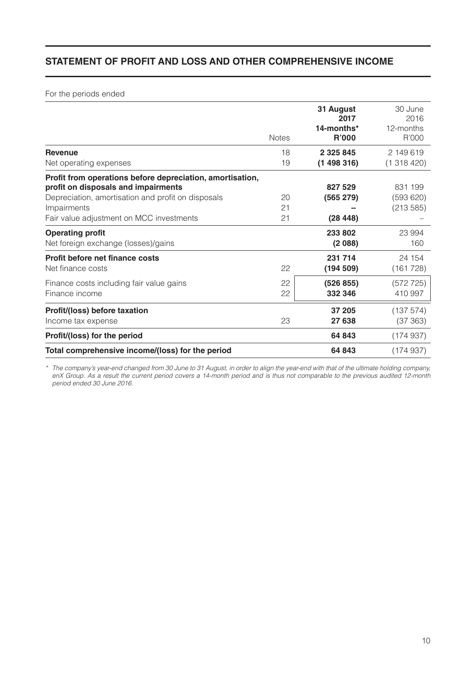# **STATEMENT OF PROFIT AND LOSS AND OTHER COMPREHENSIVE INCOME**

#### For the periods ended

|                                                                                                                                                                                                                   | <b>Notes</b>   | 31 August<br>2017<br>14-months*<br><b>R'000</b> | 30 June<br>2016<br>12-months<br>R'000 |
|-------------------------------------------------------------------------------------------------------------------------------------------------------------------------------------------------------------------|----------------|-------------------------------------------------|---------------------------------------|
| Revenue                                                                                                                                                                                                           | 18             | 2 3 2 5 8 4 5                                   | 2 149 619                             |
| Net operating expenses                                                                                                                                                                                            | 19             | (1498316)                                       | (1318420)                             |
| Profit from operations before depreciation, amortisation,<br>profit on disposals and impairments<br>Depreciation, amortisation and profit on disposals<br>Impairments<br>Fair value adjustment on MCC investments | 20<br>21<br>21 | 827 529<br>(565 279)<br>(28448)                 | 831 199<br>(593620)<br>(213 585)      |
| <b>Operating profit</b>                                                                                                                                                                                           |                | 233 802                                         | 23 994                                |
| Net foreign exchange (losses)/gains                                                                                                                                                                               |                | (2 088)                                         | 160                                   |
| Profit before net finance costs                                                                                                                                                                                   | 22             | 231 714                                         | 24 154                                |
| Net finance costs                                                                                                                                                                                                 |                | (194509)                                        | (161 728)                             |
| Finance costs including fair value gains                                                                                                                                                                          | 22             | (526 855)                                       | (572725)                              |
| Finance income                                                                                                                                                                                                    | 22             | 332 346                                         | 410 997                               |
| Profit/(loss) before taxation                                                                                                                                                                                     | 23             | 37 205                                          | (137574)                              |
| Income tax expense                                                                                                                                                                                                |                | 27 638                                          | (37363)                               |
| Profit/(loss) for the period                                                                                                                                                                                      |                | 64 843                                          | (174937)                              |
| Total comprehensive income/(loss) for the period                                                                                                                                                                  |                | 64 843                                          | (174937)                              |

*\* The company's year-end changed from 30 June to 31 August, in order to align the year-end with that of the ultimate holding company, enX Group. As a result the current period covers a 14-month period and is thus not comparable to the previous audited 12-month period ended 30 June 2016.*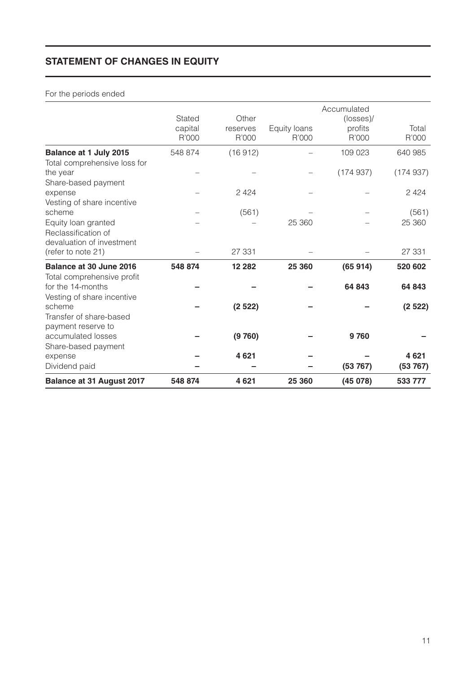# **STATEMENT OF CHANGES IN EQUITY**

# For the periods ended

|                                                                         | Stated<br>capital<br>R'000 | Other<br>reserves<br>R'000 | Equity loans<br>R'000 | Accumulated<br>$(\text{losses})$<br>profits<br>R'000 | Total<br>R'000 |
|-------------------------------------------------------------------------|----------------------------|----------------------------|-----------------------|------------------------------------------------------|----------------|
| Balance at 1 July 2015                                                  | 548 874                    | (16912)                    |                       | 109 023                                              | 640 985        |
| Total comprehensive loss for<br>the year<br>Share-based payment         |                            |                            |                       | (174937)                                             | (174937)       |
| expense<br>Vesting of share incentive                                   |                            | 2 4 2 4                    |                       |                                                      | 2 4 2 4        |
| scheme                                                                  |                            | (561)                      |                       |                                                      | (561)          |
| Equity loan granted<br>Reclassification of<br>devaluation of investment |                            |                            | 25 360                |                                                      | 25 360         |
| (refer to note 21)                                                      |                            | 27 331                     |                       |                                                      | 27 331         |
| <b>Balance at 30 June 2016</b><br>Total comprehensive profit            | 548 874                    | 12 2 8 2                   | 25 360                | (65914)                                              | 520 602        |
| for the 14-months<br>Vesting of share incentive                         |                            |                            |                       | 64 843                                               | 64 843         |
| scheme<br>Transfer of share-based<br>payment reserve to                 |                            | (2522)                     |                       |                                                      | (2522)         |
| accumulated losses<br>Share-based payment                               |                            | (9760)                     |                       | 9760                                                 |                |
| expense                                                                 |                            | 4621                       |                       |                                                      | 4621           |
| Dividend paid                                                           |                            |                            |                       | (53 767)                                             | (53767)        |
| <b>Balance at 31 August 2017</b>                                        | 548 874                    | 4621                       | 25 360                | (45078)                                              | 533 777        |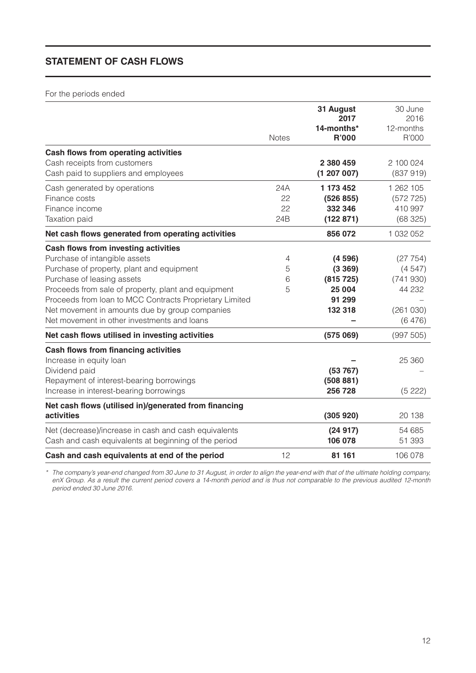# **STATEMENT OF CASH FLOWS**

#### For the periods ended

|                                                                      |              | 31 August<br>2017          | 30 June<br>2016       |
|----------------------------------------------------------------------|--------------|----------------------------|-----------------------|
|                                                                      | <b>Notes</b> | 14-months*<br><b>R'000</b> | 12-months<br>R'000    |
| Cash flows from operating activities                                 |              |                            |                       |
| Cash receipts from customers<br>Cash paid to suppliers and employees |              | 2 380 459<br>(1207007)     | 2 100 024<br>(837919) |
| Cash generated by operations                                         | 24A          | 1 173 452                  | 1 262 105             |
| Finance costs                                                        | 22           | (526 855)                  | (572725)              |
| Finance income                                                       | 22           | 332 346                    | 410 997               |
| Taxation paid                                                        | 24B          | (122 871)                  | (68325)               |
| Net cash flows generated from operating activities                   |              | 856 072                    | 1 032 052             |
| Cash flows from investing activities                                 |              |                            |                       |
| Purchase of intangible assets                                        | 4            | (4596)                     | (27754)               |
| Purchase of property, plant and equipment                            | 5            | (3369)                     | (4547)                |
| Purchase of leasing assets                                           | 6            | (815 725)                  | (741930)              |
| Proceeds from sale of property, plant and equipment                  | 5            | 25 004                     | 44 232                |
| Proceeds from loan to MCC Contracts Proprietary Limited              |              | 91 299                     |                       |
| Net movement in amounts due by group companies                       |              | 132 318                    | (261030)              |
| Net movement in other investments and loans                          |              |                            | (6476)                |
| Net cash flows utilised in investing activities                      |              | (575069)                   | (997 505)             |
| <b>Cash flows from financing activities</b>                          |              |                            |                       |
| Increase in equity loan                                              |              |                            | 25 360                |
| Dividend paid                                                        |              | (53767)                    |                       |
| Repayment of interest-bearing borrowings                             |              | (508 881)                  |                       |
| Increase in interest-bearing borrowings                              |              | 256 728                    | (5222)                |
| Net cash flows (utilised in)/generated from financing                |              |                            |                       |
| activities                                                           |              | (305920)                   | 20 138                |
| Net (decrease)/increase in cash and cash equivalents                 |              | (24917)                    | 54 685                |
| Cash and cash equivalents at beginning of the period                 |              | 106 078                    | 51 393                |
| Cash and cash equivalents at end of the period                       | 12           | 81 161                     | 106 078               |

*\* The company's year-end changed from 30 June to 31 August, in order to align the year-end with that of the ultimate holding company, enX Group. As a result the current period covers a 14-month period and is thus not comparable to the previous audited 12-month period ended 30 June 2016.*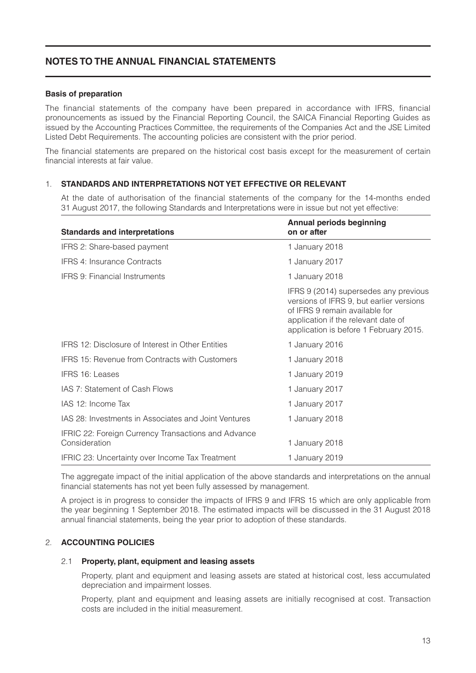# **NOTES TO THE ANNUAL FINANCIAL STATEMENTS**

#### **Basis of preparation**

The financial statements of the company have been prepared in accordance with IFRS, financial pronouncements as issued by the Financial Reporting Council, the SAICA Financial Reporting Guides as issued by the Accounting Practices Committee, the requirements of the Companies Act and the JSE Limited Listed Debt Requirements. The accounting policies are consistent with the prior period.

The financial statements are prepared on the historical cost basis except for the measurement of certain financial interests at fair value.

#### 1. **STANDARDS AND INTERPRETATIONS NOT YET EFFECTIVE OR RELEVANT**

At the date of authorisation of the financial statements of the company for the 14-months ended 31 August 2017, the following Standards and Interpretations were in issue but not yet effective:

| <b>Standards and interpretations</b>                                 | <b>Annual periods beginning</b><br>on or after                                                                                                                                                       |
|----------------------------------------------------------------------|------------------------------------------------------------------------------------------------------------------------------------------------------------------------------------------------------|
| IFRS 2: Share-based payment                                          | 1 January 2018                                                                                                                                                                                       |
| IFRS 4: Insurance Contracts                                          | 1 January 2017                                                                                                                                                                                       |
| <b>IFRS 9: Financial Instruments</b>                                 | 1 January 2018                                                                                                                                                                                       |
|                                                                      | IFRS 9 (2014) supersedes any previous<br>versions of IFRS 9, but earlier versions<br>of IFRS 9 remain available for<br>application if the relevant date of<br>application is before 1 February 2015. |
| <b>IFRS 12: Disclosure of Interest in Other Entities</b>             | 1 January 2016                                                                                                                                                                                       |
| <b>IFRS 15: Revenue from Contracts with Customers</b>                | 1 January 2018                                                                                                                                                                                       |
| <b>IFRS 16: Leases</b>                                               | 1 January 2019                                                                                                                                                                                       |
| IAS 7: Statement of Cash Flows                                       | 1 January 2017                                                                                                                                                                                       |
| IAS 12: Income Tax                                                   | 1 January 2017                                                                                                                                                                                       |
| IAS 28: Investments in Associates and Joint Ventures                 | 1 January 2018                                                                                                                                                                                       |
| IFRIC 22: Foreign Currency Transactions and Advance<br>Consideration | 1 January 2018                                                                                                                                                                                       |
| IFRIC 23: Uncertainty over Income Tax Treatment                      | 1 January 2019                                                                                                                                                                                       |

The aggregate impact of the initial application of the above standards and interpretations on the annual financial statements has not yet been fully assessed by management.

A project is in progress to consider the impacts of IFRS 9 and IFRS 15 which are only applicable from the year beginning 1 September 2018. The estimated impacts will be discussed in the 31 August 2018 annual financial statements, being the year prior to adoption of these standards.

#### 2. **ACCOUNTING POLICIES**

#### 2.1 **Property, plant, equipment and leasing assets**

Property, plant and equipment and leasing assets are stated at historical cost, less accumulated depreciation and impairment losses.

Property, plant and equipment and leasing assets are initially recognised at cost. Transaction costs are included in the initial measurement.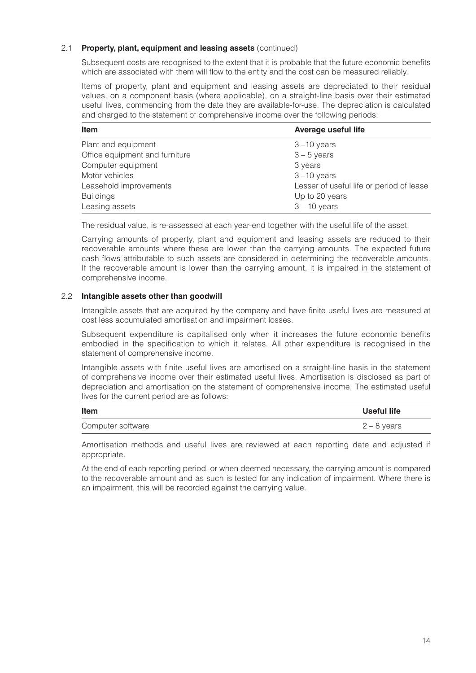#### 2.1 **Property, plant, equipment and leasing assets** (continued)

Subsequent costs are recognised to the extent that it is probable that the future economic benefits which are associated with them will flow to the entity and the cost can be measured reliably.

Items of property, plant and equipment and leasing assets are depreciated to their residual values, on a component basis (where applicable), on a straight-line basis over their estimated useful lives, commencing from the date they are available-for-use. The depreciation is calculated and charged to the statement of comprehensive income over the following periods:

| <b>Item</b>                    | <b>Average useful life</b>               |
|--------------------------------|------------------------------------------|
| Plant and equipment            | $3 - 10$ years                           |
| Office equipment and furniture | $3 - 5$ years                            |
| Computer equipment             | 3 years                                  |
| Motor vehicles                 | $3 - 10$ years                           |
| Leasehold improvements         | Lesser of useful life or period of lease |
| <b>Buildings</b>               | Up to 20 years                           |
| Leasing assets                 | $3 - 10$ years                           |

The residual value, is re-assessed at each year-end together with the useful life of the asset.

Carrying amounts of property, plant and equipment and leasing assets are reduced to their recoverable amounts where these are lower than the carrying amounts. The expected future cash flows attributable to such assets are considered in determining the recoverable amounts. If the recoverable amount is lower than the carrying amount, it is impaired in the statement of comprehensive income.

#### 2.2 **Intangible assets other than goodwill**

Intangible assets that are acquired by the company and have finite useful lives are measured at cost less accumulated amortisation and impairment losses.

Subsequent expenditure is capitalised only when it increases the future economic benefits embodied in the specification to which it relates. All other expenditure is recognised in the statement of comprehensive income.

Intangible assets with finite useful lives are amortised on a straight-line basis in the statement of comprehensive income over their estimated useful lives. Amortisation is disclosed as part of depreciation and amortisation on the statement of comprehensive income. The estimated useful lives for the current period are as follows:

| Item              | Useful life   |
|-------------------|---------------|
| Computer software | $2 - 8$ years |

Amortisation methods and useful lives are reviewed at each reporting date and adjusted if appropriate.

At the end of each reporting period, or when deemed necessary, the carrying amount is compared to the recoverable amount and as such is tested for any indication of impairment. Where there is an impairment, this will be recorded against the carrying value.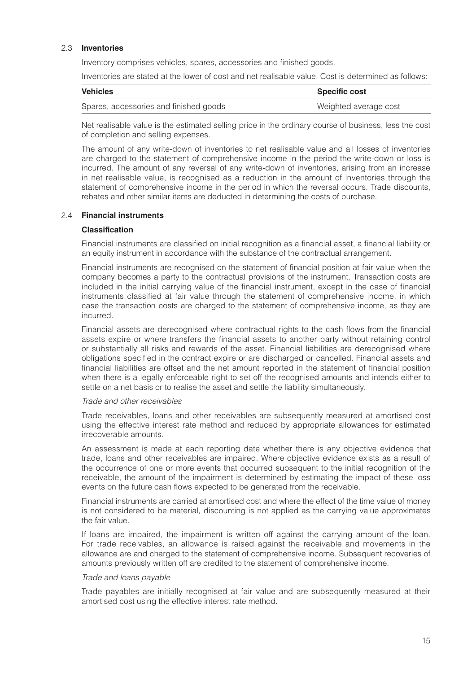#### 2.3 **Inventories**

Inventory comprises vehicles, spares, accessories and finished goods.

Inventories are stated at the lower of cost and net realisable value. Cost is determined as follows:

| <b>Vehicles</b>                        | <b>Specific cost</b>  |
|----------------------------------------|-----------------------|
| Spares, accessories and finished goods | Weighted average cost |

Net realisable value is the estimated selling price in the ordinary course of business, less the cost of completion and selling expenses.

The amount of any write-down of inventories to net realisable value and all losses of inventories are charged to the statement of comprehensive income in the period the write-down or loss is incurred. The amount of any reversal of any write-down of inventories, arising from an increase in net realisable value, is recognised as a reduction in the amount of inventories through the statement of comprehensive income in the period in which the reversal occurs. Trade discounts, rebates and other similar items are deducted in determining the costs of purchase.

#### 2.4 **Financial instruments**

#### **Classification**

Financial instruments are classified on initial recognition as a financial asset, a financial liability or an equity instrument in accordance with the substance of the contractual arrangement.

Financial instruments are recognised on the statement of financial position at fair value when the company becomes a party to the contractual provisions of the instrument. Transaction costs are included in the initial carrying value of the financial instrument, except in the case of financial instruments classified at fair value through the statement of comprehensive income, in which case the transaction costs are charged to the statement of comprehensive income, as they are incurred.

Financial assets are derecognised where contractual rights to the cash flows from the financial assets expire or where transfers the financial assets to another party without retaining control or substantially all risks and rewards of the asset. Financial liabilities are derecognised where obligations specified in the contract expire or are discharged or cancelled. Financial assets and financial liabilities are offset and the net amount reported in the statement of financial position when there is a legally enforceable right to set off the recognised amounts and intends either to settle on a net basis or to realise the asset and settle the liability simultaneously.

#### *Trade and other receivables*

Trade receivables, loans and other receivables are subsequently measured at amortised cost using the effective interest rate method and reduced by appropriate allowances for estimated irrecoverable amounts.

An assessment is made at each reporting date whether there is any objective evidence that trade, loans and other receivables are impaired. Where objective evidence exists as a result of the occurrence of one or more events that occurred subsequent to the initial recognition of the receivable, the amount of the impairment is determined by estimating the impact of these loss events on the future cash flows expected to be generated from the receivable.

Financial instruments are carried at amortised cost and where the effect of the time value of money is not considered to be material, discounting is not applied as the carrying value approximates the fair value.

If loans are impaired, the impairment is written off against the carrying amount of the loan. For trade receivables, an allowance is raised against the receivable and movements in the allowance are and charged to the statement of comprehensive income. Subsequent recoveries of amounts previously written off are credited to the statement of comprehensive income.

#### *Trade and loans payable*

Trade payables are initially recognised at fair value and are subsequently measured at their amortised cost using the effective interest rate method.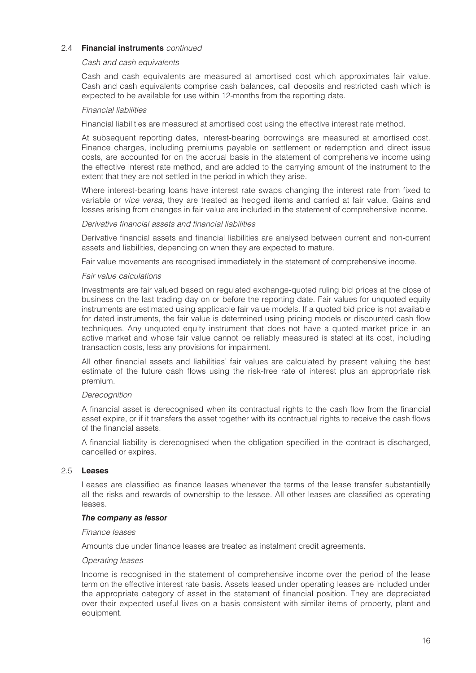#### 2.4 **Financial instruments** *continued*

#### *Cash and cash equivalents*

Cash and cash equivalents are measured at amortised cost which approximates fair value. Cash and cash equivalents comprise cash balances, call deposits and restricted cash which is expected to be available for use within 12-months from the reporting date.

#### *Financial liabilities*

Financial liabilities are measured at amortised cost using the effective interest rate method.

At subsequent reporting dates, interest-bearing borrowings are measured at amortised cost. Finance charges, including premiums payable on settlement or redemption and direct issue costs, are accounted for on the accrual basis in the statement of comprehensive income using the effective interest rate method, and are added to the carrying amount of the instrument to the extent that they are not settled in the period in which they arise.

Where interest-bearing loans have interest rate swaps changing the interest rate from fixed to variable or *vice versa*, they are treated as hedged items and carried at fair value. Gains and losses arising from changes in fair value are included in the statement of comprehensive income.

#### *Derivative financial assets and financial liabilities*

Derivative financial assets and financial liabilities are analysed between current and non-current assets and liabilities, depending on when they are expected to mature.

Fair value movements are recognised immediately in the statement of comprehensive income.

#### *Fair value calculations*

Investments are fair valued based on regulated exchange-quoted ruling bid prices at the close of business on the last trading day on or before the reporting date. Fair values for unquoted equity instruments are estimated using applicable fair value models. If a quoted bid price is not available for dated instruments, the fair value is determined using pricing models or discounted cash flow techniques. Any unquoted equity instrument that does not have a quoted market price in an active market and whose fair value cannot be reliably measured is stated at its cost, including transaction costs, less any provisions for impairment.

All other financial assets and liabilities' fair values are calculated by present valuing the best estimate of the future cash flows using the risk-free rate of interest plus an appropriate risk premium.

#### *Derecognition*

A financial asset is derecognised when its contractual rights to the cash flow from the financial asset expire, or if it transfers the asset together with its contractual rights to receive the cash flows of the financial assets.

A financial liability is derecognised when the obligation specified in the contract is discharged, cancelled or expires.

#### 2.5 **Leases**

Leases are classified as finance leases whenever the terms of the lease transfer substantially all the risks and rewards of ownership to the lessee. All other leases are classified as operating leases.

#### *The company as lessor*

#### *Finance leases*

Amounts due under finance leases are treated as instalment credit agreements.

#### *Operating leases*

Income is recognised in the statement of comprehensive income over the period of the lease term on the effective interest rate basis. Assets leased under operating leases are included under the appropriate category of asset in the statement of financial position. They are depreciated over their expected useful lives on a basis consistent with similar items of property, plant and equipment.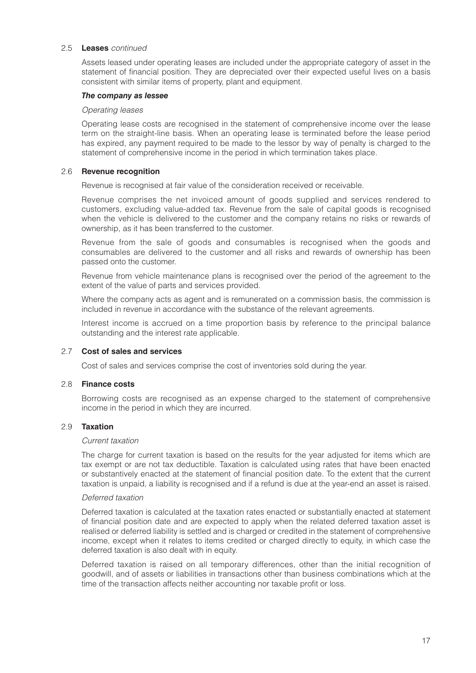#### 2.5 **Leases** *continued*

Assets leased under operating leases are included under the appropriate category of asset in the statement of financial position. They are depreciated over their expected useful lives on a basis consistent with similar items of property, plant and equipment.

#### *The company as lessee*

#### *Operating leases*

Operating lease costs are recognised in the statement of comprehensive income over the lease term on the straight-line basis. When an operating lease is terminated before the lease period has expired, any payment required to be made to the lessor by way of penalty is charged to the statement of comprehensive income in the period in which termination takes place.

#### 2.6 **Revenue recognition**

Revenue is recognised at fair value of the consideration received or receivable.

Revenue comprises the net invoiced amount of goods supplied and services rendered to customers, excluding value-added tax. Revenue from the sale of capital goods is recognised when the vehicle is delivered to the customer and the company retains no risks or rewards of ownership, as it has been transferred to the customer.

Revenue from the sale of goods and consumables is recognised when the goods and consumables are delivered to the customer and all risks and rewards of ownership has been passed onto the customer.

Revenue from vehicle maintenance plans is recognised over the period of the agreement to the extent of the value of parts and services provided.

Where the company acts as agent and is remunerated on a commission basis, the commission is included in revenue in accordance with the substance of the relevant agreements.

Interest income is accrued on a time proportion basis by reference to the principal balance outstanding and the interest rate applicable.

#### 2.7 **Cost of sales and services**

Cost of sales and services comprise the cost of inventories sold during the year.

#### 2.8 **Finance costs**

Borrowing costs are recognised as an expense charged to the statement of comprehensive income in the period in which they are incurred.

#### 2.9 **Taxation**

#### *Current taxation*

The charge for current taxation is based on the results for the year adjusted for items which are tax exempt or are not tax deductible. Taxation is calculated using rates that have been enacted or substantively enacted at the statement of financial position date. To the extent that the current taxation is unpaid, a liability is recognised and if a refund is due at the year-end an asset is raised.

#### *Deferred taxation*

Deferred taxation is calculated at the taxation rates enacted or substantially enacted at statement of financial position date and are expected to apply when the related deferred taxation asset is realised or deferred liability is settled and is charged or credited in the statement of comprehensive income, except when it relates to items credited or charged directly to equity, in which case the deferred taxation is also dealt with in equity.

Deferred taxation is raised on all temporary differences, other than the initial recognition of goodwill, and of assets or liabilities in transactions other than business combinations which at the time of the transaction affects neither accounting nor taxable profit or loss.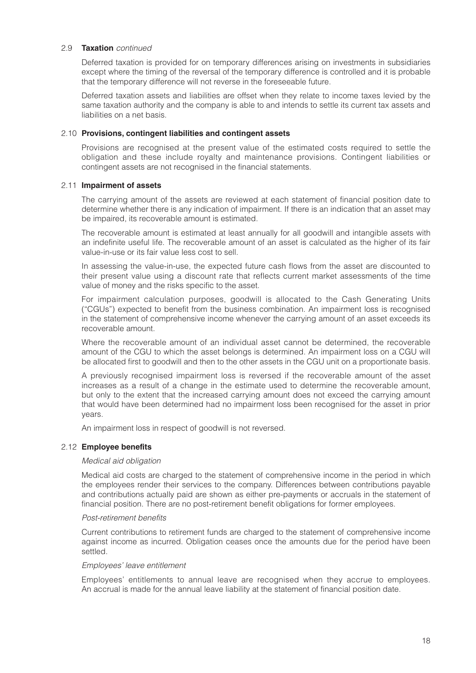#### 2.9 **Taxation** *continued*

Deferred taxation is provided for on temporary differences arising on investments in subsidiaries except where the timing of the reversal of the temporary difference is controlled and it is probable that the temporary difference will not reverse in the foreseeable future.

Deferred taxation assets and liabilities are offset when they relate to income taxes levied by the same taxation authority and the company is able to and intends to settle its current tax assets and liabilities on a net basis.

#### 2.10 **Provisions, contingent liabilities and contingent assets**

Provisions are recognised at the present value of the estimated costs required to settle the obligation and these include royalty and maintenance provisions. Contingent liabilities or contingent assets are not recognised in the financial statements.

#### 2.11 **Impairment of assets**

The carrying amount of the assets are reviewed at each statement of financial position date to determine whether there is any indication of impairment. If there is an indication that an asset may be impaired, its recoverable amount is estimated.

The recoverable amount is estimated at least annually for all goodwill and intangible assets with an indefinite useful life. The recoverable amount of an asset is calculated as the higher of its fair value-in-use or its fair value less cost to sell.

In assessing the value-in-use, the expected future cash flows from the asset are discounted to their present value using a discount rate that reflects current market assessments of the time value of money and the risks specific to the asset.

For impairment calculation purposes, goodwill is allocated to the Cash Generating Units ("CGUs") expected to benefit from the business combination. An impairment loss is recognised in the statement of comprehensive income whenever the carrying amount of an asset exceeds its recoverable amount.

Where the recoverable amount of an individual asset cannot be determined, the recoverable amount of the CGU to which the asset belongs is determined. An impairment loss on a CGU will be allocated first to goodwill and then to the other assets in the CGU unit on a proportionate basis.

A previously recognised impairment loss is reversed if the recoverable amount of the asset increases as a result of a change in the estimate used to determine the recoverable amount, but only to the extent that the increased carrying amount does not exceed the carrying amount that would have been determined had no impairment loss been recognised for the asset in prior years.

An impairment loss in respect of goodwill is not reversed.

#### 2.12 **Employee benefits**

#### *Medical aid obligation*

Medical aid costs are charged to the statement of comprehensive income in the period in which the employees render their services to the company. Differences between contributions payable and contributions actually paid are shown as either pre-payments or accruals in the statement of financial position. There are no post-retirement benefit obligations for former employees.

#### *Post-retirement benefits*

Current contributions to retirement funds are charged to the statement of comprehensive income against income as incurred. Obligation ceases once the amounts due for the period have been settled.

#### *Employees' leave entitlement*

Employees' entitlements to annual leave are recognised when they accrue to employees. An accrual is made for the annual leave liability at the statement of financial position date.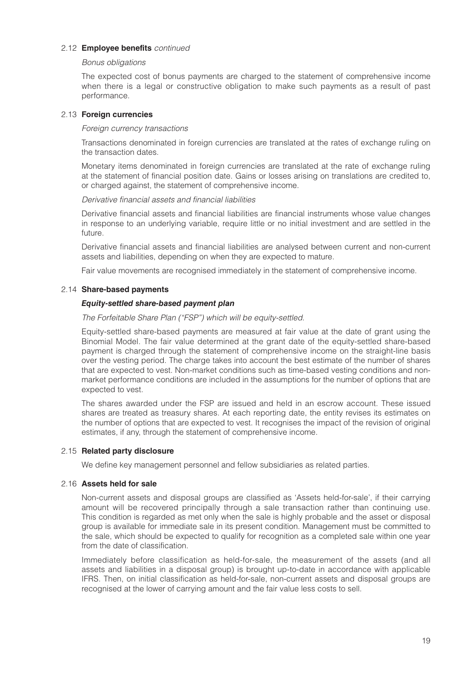#### 2.12 **Employee benefits** *continued*

#### *Bonus obligations*

The expected cost of bonus payments are charged to the statement of comprehensive income when there is a legal or constructive obligation to make such payments as a result of past performance.

#### 2.13 **Foreign currencies**

#### *Foreign currency transactions*

Transactions denominated in foreign currencies are translated at the rates of exchange ruling on the transaction dates.

Monetary items denominated in foreign currencies are translated at the rate of exchange ruling at the statement of financial position date. Gains or losses arising on translations are credited to, or charged against, the statement of comprehensive income.

#### *Derivative financial assets and financial liabilities*

Derivative financial assets and financial liabilities are financial instruments whose value changes in response to an underlying variable, require little or no initial investment and are settled in the future.

Derivative financial assets and financial liabilities are analysed between current and non-current assets and liabilities, depending on when they are expected to mature.

Fair value movements are recognised immediately in the statement of comprehensive income.

#### 2.14 **Share-based payments**

#### *Equity-settled share-based payment plan*

#### *The Forfeitable Share Plan ("FSP") which will be equity-settled.*

Equity-settled share-based payments are measured at fair value at the date of grant using the Binomial Model. The fair value determined at the grant date of the equity-settled share-based payment is charged through the statement of comprehensive income on the straight-line basis over the vesting period. The charge takes into account the best estimate of the number of shares that are expected to vest. Non-market conditions such as time-based vesting conditions and nonmarket performance conditions are included in the assumptions for the number of options that are expected to vest.

The shares awarded under the FSP are issued and held in an escrow account. These issued shares are treated as treasury shares. At each reporting date, the entity revises its estimates on the number of options that are expected to vest. It recognises the impact of the revision of original estimates, if any, through the statement of comprehensive income.

#### 2.15 **Related party disclosure**

We define key management personnel and fellow subsidiaries as related parties.

#### 2.16 **Assets held for sale**

Non-current assets and disposal groups are classified as 'Assets held-for-sale', if their carrying amount will be recovered principally through a sale transaction rather than continuing use. This condition is regarded as met only when the sale is highly probable and the asset or disposal group is available for immediate sale in its present condition. Management must be committed to the sale, which should be expected to qualify for recognition as a completed sale within one year from the date of classification.

Immediately before classification as held-for-sale, the measurement of the assets (and all assets and liabilities in a disposal group) is brought up-to-date in accordance with applicable IFRS. Then, on initial classification as held-for-sale, non-current assets and disposal groups are recognised at the lower of carrying amount and the fair value less costs to sell.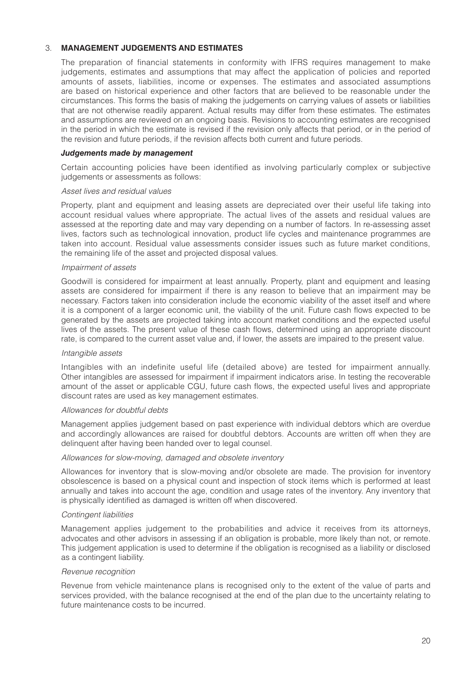#### 3. **MANAGEMENT JUDGEMENTS AND ESTIMATES**

The preparation of financial statements in conformity with IFRS requires management to make judgements, estimates and assumptions that may affect the application of policies and reported amounts of assets, liabilities, income or expenses. The estimates and associated assumptions are based on historical experience and other factors that are believed to be reasonable under the circumstances. This forms the basis of making the judgements on carrying values of assets or liabilities that are not otherwise readily apparent. Actual results may differ from these estimates. The estimates and assumptions are reviewed on an ongoing basis. Revisions to accounting estimates are recognised in the period in which the estimate is revised if the revision only affects that period, or in the period of the revision and future periods, if the revision affects both current and future periods.

#### *Judgements made by management*

Certain accounting policies have been identified as involving particularly complex or subjective judgements or assessments as follows:

#### *Asset lives and residual values*

Property, plant and equipment and leasing assets are depreciated over their useful life taking into account residual values where appropriate. The actual lives of the assets and residual values are assessed at the reporting date and may vary depending on a number of factors. In re-assessing asset lives, factors such as technological innovation, product life cycles and maintenance programmes are taken into account. Residual value assessments consider issues such as future market conditions, the remaining life of the asset and projected disposal values.

#### *Impairment of assets*

Goodwill is considered for impairment at least annually. Property, plant and equipment and leasing assets are considered for impairment if there is any reason to believe that an impairment may be necessary. Factors taken into consideration include the economic viability of the asset itself and where it is a component of a larger economic unit, the viability of the unit. Future cash flows expected to be generated by the assets are projected taking into account market conditions and the expected useful lives of the assets. The present value of these cash flows, determined using an appropriate discount rate, is compared to the current asset value and, if lower, the assets are impaired to the present value.

#### *Intangible assets*

Intangibles with an indefinite useful life (detailed above) are tested for impairment annually. Other intangibles are assessed for impairment if impairment indicators arise. In testing the recoverable amount of the asset or applicable CGU, future cash flows, the expected useful lives and appropriate discount rates are used as key management estimates.

#### *Allowances for doubtful debts*

Management applies judgement based on past experience with individual debtors which are overdue and accordingly allowances are raised for doubtful debtors. Accounts are written off when they are delinquent after having been handed over to legal counsel.

#### *Allowances for slow-moving, damaged and obsolete inventory*

Allowances for inventory that is slow-moving and/or obsolete are made. The provision for inventory obsolescence is based on a physical count and inspection of stock items which is performed at least annually and takes into account the age, condition and usage rates of the inventory. Any inventory that is physically identified as damaged is written off when discovered.

#### *Contingent liabilities*

Management applies judgement to the probabilities and advice it receives from its attorneys, advocates and other advisors in assessing if an obligation is probable, more likely than not, or remote. This judgement application is used to determine if the obligation is recognised as a liability or disclosed as a contingent liability.

#### *Revenue recognition*

Revenue from vehicle maintenance plans is recognised only to the extent of the value of parts and services provided, with the balance recognised at the end of the plan due to the uncertainty relating to future maintenance costs to be incurred.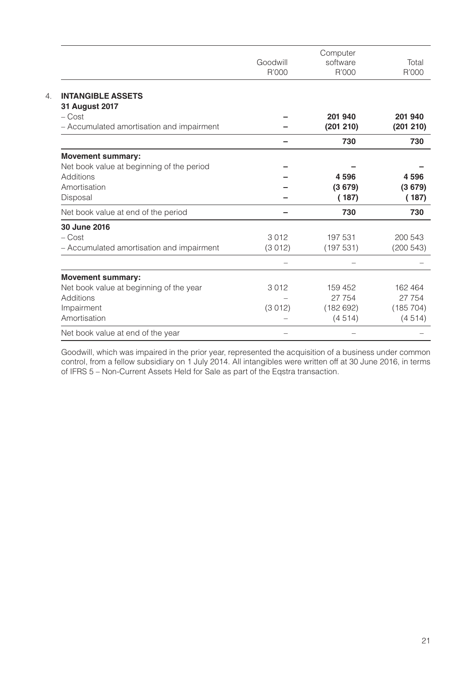|                                           | Goodwill<br>R'000 | Computer<br>software<br>R'000 | Total<br>R'000 |
|-------------------------------------------|-------------------|-------------------------------|----------------|
| <b>INTANGIBLE ASSETS</b>                  |                   |                               |                |
| 31 August 2017                            |                   |                               |                |
| $-Cost$                                   |                   | 201 940                       | 201 940        |
| - Accumulated amortisation and impairment |                   | (201 210)                     | (201 210)      |
|                                           |                   | 730                           | 730            |
| <b>Movement summary:</b>                  |                   |                               |                |
| Net book value at beginning of the period |                   |                               |                |
| <b>Additions</b>                          |                   | 4596                          | 4 5 9 6        |
| Amortisation                              |                   | (3679)                        | (3679)         |
| Disposal                                  |                   | (187)                         | (187)          |
| Net book value at end of the period       |                   | 730                           | 730            |
| 30 June 2016                              |                   |                               |                |
| – Cost                                    | 3012              | 197 531                       | 200 543        |
| - Accumulated amortisation and impairment | (3012)            | (197531)                      | (200543)       |
|                                           |                   |                               |                |
| <b>Movement summary:</b>                  |                   |                               |                |
| Net book value at beginning of the year   | 3012              | 159 452                       | 162 464        |
| <b>Additions</b>                          |                   | 27 754                        | 27 754         |
| Impairment                                | (3012)            | (182692)                      | (185 704)      |
| Amortisation                              |                   | (4514)                        | (4514)         |
| Net book value at end of the year         |                   |                               |                |

Goodwill, which was impaired in the prior year, represented the acquisition of a business under common control, from a fellow subsidiary on 1 July 2014. All intangibles were written off at 30 June 2016, in terms of IFRS 5 – Non-Current Assets Held for Sale as part of the Eqstra transaction.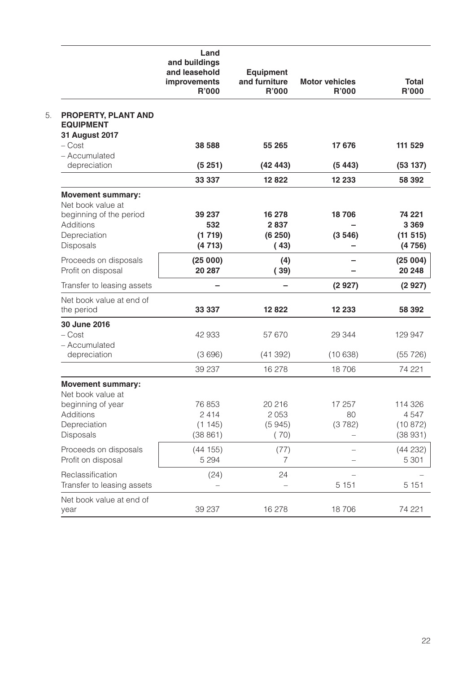|                                                                                                                           | Land<br>and buildings<br>and leasehold<br>improvements<br>R'000 | <b>Equipment</b><br>and furniture<br><b>R'000</b> | <b>Motor vehicles</b><br>R'000 | <b>Total</b><br><b>R'000</b>            |
|---------------------------------------------------------------------------------------------------------------------------|-----------------------------------------------------------------|---------------------------------------------------|--------------------------------|-----------------------------------------|
| PROPERTY, PLANT AND<br><b>EQUIPMENT</b>                                                                                   |                                                                 |                                                   |                                |                                         |
| 31 August 2017<br>$-Cost$                                                                                                 | 38 588                                                          | 55 265                                            | 17 676                         | 111 529                                 |
| - Accumulated                                                                                                             |                                                                 |                                                   |                                |                                         |
| depreciation                                                                                                              | (5251)                                                          | (42443)                                           | (5443)                         | (53137)                                 |
|                                                                                                                           | 33 337                                                          | 12 822                                            | 12 233                         | 58 392                                  |
| <b>Movement summary:</b><br>Net book value at<br>beginning of the period<br><b>Additions</b><br>Depreciation<br>Disposals | 39 237<br>532<br>(1719)<br>(4713)                               | 16 278<br>2837<br>(6250)<br>(43)                  | 18706<br>(3546)                | 74 221<br>3 3 6 9<br>(11 515)<br>(4756) |
| Proceeds on disposals<br>Profit on disposal                                                                               | (25000)<br>20 287                                               | (4)<br>(39)                                       |                                | (25004)<br>20 248                       |
| Transfer to leasing assets                                                                                                |                                                                 |                                                   | (2927)                         | (2927)                                  |
| Net book value at end of<br>the period                                                                                    | 33 337                                                          | 12 822                                            | 12 233                         | 58 392                                  |
| 30 June 2016<br>$-Cost$<br>- Accumulated                                                                                  | 42 933                                                          | 57 670                                            | 29 344                         | 129 947                                 |
| depreciation                                                                                                              | (3696)                                                          | (41392)                                           | (10638)                        | (55726)                                 |
|                                                                                                                           | 39 237                                                          | 16 278                                            | 18 706                         | 74 221                                  |
| <b>Movement summary:</b><br>Net book value at<br>beginning of year<br>Additions<br>Depreciation<br>Disposals              | 76 853<br>2414<br>(1145)<br>(38861)                             | 20 216<br>2 0 5 3<br>(5945)<br>(70)               | 17 257<br>80<br>(3782)         | 114 326<br>4547<br>(10872)<br>(38931)   |
| Proceeds on disposals<br>Profit on disposal                                                                               | (44155)<br>5 2 9 4                                              | (77)<br>7                                         |                                | (44232)<br>5 3 0 1                      |
| Reclassification<br>Transfer to leasing assets                                                                            | (24)                                                            | 24                                                | 5 1 5 1                        | 5 1 5 1                                 |
| Net book value at end of<br>year                                                                                          | 39 237                                                          | 16 278                                            | 18 706                         | 74 221                                  |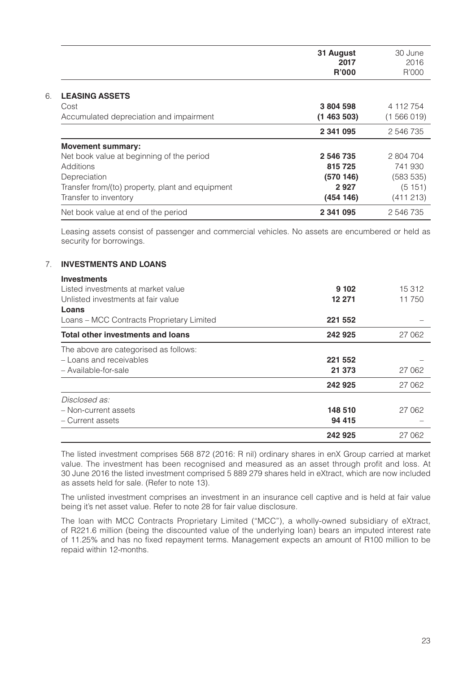|                                                  | 31 August<br>2017<br><b>R'000</b> | 30 June<br>2016<br>R'000 |
|--------------------------------------------------|-----------------------------------|--------------------------|
| 6.<br><b>LEASING ASSETS</b>                      |                                   |                          |
| Cost                                             | 3 804 598                         | 4 112 754                |
| Accumulated depreciation and impairment          | (1463503)                         | (1566019)                |
|                                                  | 2 341 095                         | 2 546 735                |
| <b>Movement summary:</b>                         |                                   |                          |
| Net book value at beginning of the period        | 2 546 735                         | 2 804 704                |
| Additions                                        | 815 725                           | 741 930                  |
| Depreciation                                     | (570146)                          | (583535)                 |
| Transfer from/(to) property, plant and equipment | 2927                              | (5151)                   |
| Transfer to inventory                            | (454146)                          | (411213)                 |
| Net book value at end of the period              | 2 341 095                         | 2 546 735                |

Leasing assets consist of passenger and commercial vehicles. No assets are encumbered or held as security for borrowings.

#### 7. **INVESTMENTS AND LOANS**

| <b>Investments</b>                        |         |        |
|-------------------------------------------|---------|--------|
| Listed investments at market value        | 9 102   | 15312  |
| Unlisted investments at fair value        | 12 271  | 11 750 |
| Loans                                     |         |        |
| Loans – MCC Contracts Proprietary Limited | 221 552 |        |
| <b>Total other investments and loans</b>  | 242 925 | 27 062 |
| The above are categorised as follows:     |         |        |
| - Loans and receivables                   | 221 552 |        |
| - Available-for-sale                      | 21 373  | 27 062 |
|                                           | 242 925 | 27 062 |
| Disclosed as:                             |         |        |
| - Non-current assets                      | 148 510 | 27 062 |
| – Current assets                          | 94 415  |        |
|                                           | 242 925 | 27 062 |

The listed investment comprises 568 872 (2016: R nil) ordinary shares in enX Group carried at market value. The investment has been recognised and measured as an asset through profit and loss. At 30 June 2016 the listed investment comprised 5 889 279 shares held in eXtract, which are now included as assets held for sale. (Refer to note 13).

The unlisted investment comprises an investment in an insurance cell captive and is held at fair value being it's net asset value. Refer to note 28 for fair value disclosure.

The loan with MCC Contracts Proprietary Limited ("MCC"), a wholly-owned subsidiary of eXtract, of R221.6 million (being the discounted value of the underlying loan) bears an imputed interest rate of 11.25% and has no fixed repayment terms. Management expects an amount of R100 million to be repaid within 12-months.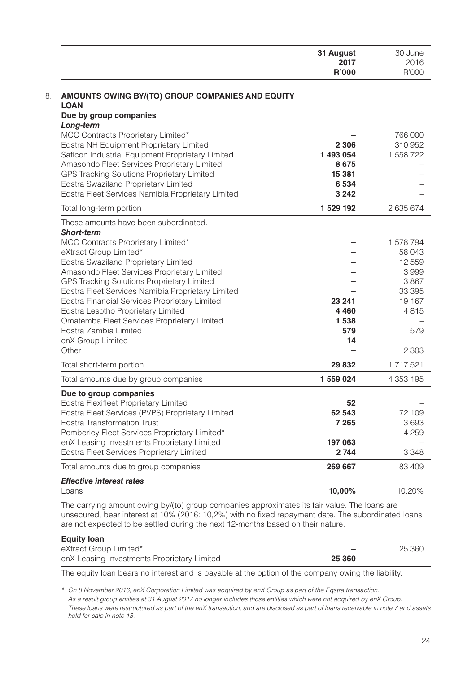|                                                                                                    | 31 August<br>2017<br><b>R'000</b> | 30 June<br>2016<br>R'000 |
|----------------------------------------------------------------------------------------------------|-----------------------------------|--------------------------|
| AMOUNTS OWING BY/(TO) GROUP COMPANIES AND EQUITY                                                   |                                   |                          |
| <b>LOAN</b>                                                                                        |                                   |                          |
| Due by group companies                                                                             |                                   |                          |
| Long-term                                                                                          |                                   |                          |
| MCC Contracts Proprietary Limited*                                                                 |                                   | 766 000                  |
| Eqstra NH Equipment Proprietary Limited                                                            | 2 3 0 6                           | 310 952                  |
| Saficon Industrial Equipment Proprietary Limited                                                   | 1 493 054                         | 1 558 722                |
| Amasondo Fleet Services Proprietary Limited                                                        | 8675                              |                          |
| GPS Tracking Solutions Proprietary Limited                                                         | 15 381                            |                          |
| Eqstra Swaziland Proprietary Limited                                                               | 6 5 3 4                           |                          |
| Eqstra Fleet Services Namibia Proprietary Limited                                                  | 3 2 4 2                           |                          |
| Total long-term portion                                                                            | 1 529 192                         | 2 635 674                |
| These amounts have been subordinated.                                                              |                                   |                          |
| <b>Short-term</b>                                                                                  |                                   |                          |
| MCC Contracts Proprietary Limited*                                                                 |                                   | 1578794                  |
| eXtract Group Limited*                                                                             |                                   | 58 043                   |
| Eqstra Swaziland Proprietary Limited                                                               |                                   | 12 5 5 9                 |
| Amasondo Fleet Services Proprietary Limited                                                        |                                   | 3999                     |
| GPS Tracking Solutions Proprietary Limited                                                         |                                   | 3867<br>33 395           |
| Eqstra Fleet Services Namibia Proprietary Limited<br>Eqstra Financial Services Proprietary Limited | 23 241                            | 19 167                   |
| Eqstra Lesotho Proprietary Limited                                                                 | 4 4 6 0                           | 4815                     |
| Omatemba Fleet Services Proprietary Limited                                                        | 1 538                             |                          |
| Eqstra Zambia Limited                                                                              | 579                               | 579                      |
| enX Group Limited                                                                                  | 14                                |                          |
| Other                                                                                              |                                   | 2 3 0 3                  |
| Total short-term portion                                                                           | 29 832                            | 1717521                  |
| Total amounts due by group companies                                                               | 1 559 024                         | 4 3 5 3 1 9 5            |
| Due to group companies                                                                             |                                   |                          |
| Eqstra Flexifleet Proprietary Limited                                                              | 52                                |                          |
| Eqstra Fleet Services (PVPS) Proprietary Limited                                                   | 62 543                            | 72 109                   |
| Egstra Transformation Trust                                                                        | 7 2 6 5                           | 3693                     |
| Pemberley Fleet Services Proprietary Limited*                                                      |                                   | 4 2 5 9                  |
| enX Leasing Investments Proprietary Limited                                                        | 197 063                           |                          |
| Eqstra Fleet Services Proprietary Limited                                                          | 2 744                             | 3 3 4 8                  |
| Total amounts due to group companies                                                               | 269 667                           | 83 409                   |
| <b>Effective interest rates</b>                                                                    |                                   |                          |
| Loans                                                                                              | 10,00%                            | 10,20%                   |

unsecured, bear interest at 10% (2016: 10,2%) with no fixed repayment date. The subordinated loans are not expected to be settled during the next 12-months based on their nature.

#### **Equity loan**

| enX Leasing Investments Proprietary Limited | 25 360 | $\overline{\phantom{a}}$ |
|---------------------------------------------|--------|--------------------------|
| eXtract Group Limited*                      |        | 25 360                   |

The equity loan bears no interest and is payable at the option of the company owing the liability.

*\* On 8 November 2016, enX Corporation Limited was acquired by enX Group as part of the Eqstra transaction. As a result group entities at 31 August 2017 no longer includes those entities which were not acquired by enX Group. These loans were restructured as part of the enX transaction, and are disclosed as part of loans receivable in note 7 and assets held for sale in note 13.*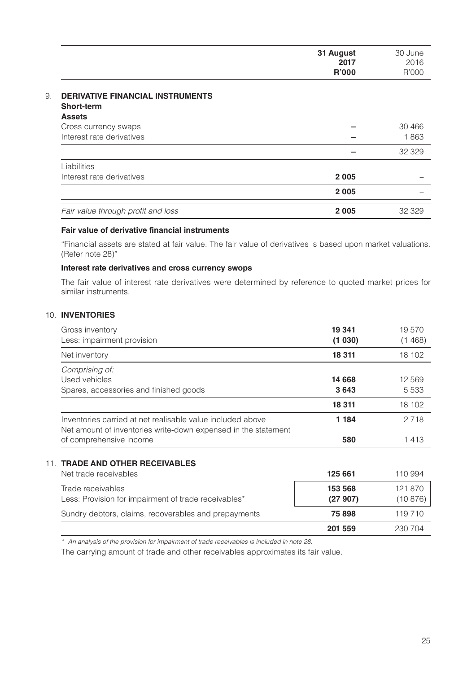|                                                             | 31 August<br>2017<br><b>R'000</b> | 30 June<br>2016<br>R'000 |
|-------------------------------------------------------------|-----------------------------------|--------------------------|
| 9.<br><b>DERIVATIVE FINANCIAL INSTRUMENTS</b><br>Short-term |                                   |                          |
| <b>Assets</b>                                               |                                   |                          |
| Cross currency swaps                                        |                                   | 30 466                   |
| Interest rate derivatives                                   |                                   | 1863                     |
|                                                             |                                   | 32 329                   |
| Liabilities                                                 |                                   |                          |
| Interest rate derivatives                                   | 2005                              |                          |
|                                                             | 2005                              |                          |
| Fair value through profit and loss                          | 2005                              | 32 329                   |

#### **Fair value of derivative financial instruments**

"Financial assets are stated at fair value. The fair value of derivatives is based upon market valuations. (Refer note 28)"

#### **Interest rate derivatives and cross currency swops**

The fair value of interest rate derivatives were determined by reference to quoted market prices for similar instruments.

#### 10. **INVENTORIES**

| Gross inventory<br>Less: impairment provision                                                                                | 19 341<br>(1 030)  | 19 570<br>(1468)   |
|------------------------------------------------------------------------------------------------------------------------------|--------------------|--------------------|
| Net inventory                                                                                                                | 18 311             | 18 102             |
| Comprising of:<br>Used vehicles<br>Spares, accessories and finished goods                                                    | 14 668<br>3643     | 12 5 69<br>5 5 3 3 |
|                                                                                                                              | 18 311             | 18 102             |
| Inventories carried at net realisable value included above<br>Net amount of inventories write-down expensed in the statement | 1 1 8 4            | 2 7 1 8            |
| of comprehensive income                                                                                                      | 580                | 1 4 1 3            |
| <b>TRADE AND OTHER RECEIVABLES</b><br>11<br>Net trade receivables                                                            | 125 661            | 110 994            |
| Trade receivables<br>Less: Provision for impairment of trade receivables*                                                    | 153 568<br>(27907) | 121 870<br>(10876) |
| Sundry debtors, claims, recoverables and prepayments                                                                         | 75 898             | 119 710            |
|                                                                                                                              | 201 559            | 230 704            |

*\* An analysis of the provision for impairment of trade receivables is included in note 28.*

The carrying amount of trade and other receivables approximates its fair value.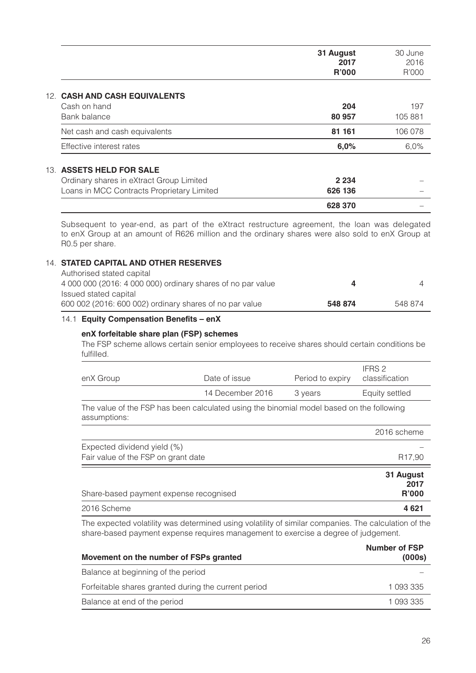|                                            | 31 August<br>2017<br><b>R'000</b> | 30 June<br>2016<br>R'000 |
|--------------------------------------------|-----------------------------------|--------------------------|
| <b>12. CASH AND CASH EQUIVALENTS</b>       |                                   |                          |
| Cash on hand                               | 204                               | 197                      |
| Bank balance                               | 80 957                            | 105 881                  |
| Net cash and cash equivalents              | 81 161                            | 106 078                  |
| Effective interest rates                   | 6,0%                              | 6,0%                     |
| 13. ASSETS HELD FOR SALE                   |                                   |                          |
| Ordinary shares in eXtract Group Limited   | 2 2 3 4                           |                          |
| Loans in MCC Contracts Proprietary Limited | 626 136                           |                          |
|                                            | 628 370                           |                          |

Subsequent to year-end, as part of the eXtract restructure agreement, the loan was delegated to enX Group at an amount of R626 million and the ordinary shares were also sold to enX Group at R0.5 per share.

#### 14. **STATED CAPITAL AND OTHER RESERVES**

| 600 002 (2016: 600 002) ordinary shares of no par value     | 548 874 | 548 874 |
|-------------------------------------------------------------|---------|---------|
| Issued stated capital                                       |         |         |
| 4 000 000 (2016: 4 000 000) ordinary shares of no par value |         |         |
| Authorised stated capital                                   |         |         |

#### 14.1 **Equity Compensation Benefits – enX**

#### **enX forfeitable share plan (FSP) schemes**

The FSP scheme allows certain senior employees to receive shares should certain conditions be fulfilled.

| enX Group                                                                                                | Date of issue    | Period to expiry | IFRS <sub>2</sub><br>classification |
|----------------------------------------------------------------------------------------------------------|------------------|------------------|-------------------------------------|
|                                                                                                          | 14 December 2016 | 3 years          | Equity settled                      |
| The value of the FSP has been calculated using the binomial model based on the following<br>assumptions: |                  |                  |                                     |
|                                                                                                          |                  |                  | 2016 scheme                         |
| Expected dividend yield (%)                                                                              |                  |                  |                                     |
| Fair value of the FSP on grant date                                                                      |                  |                  | R <sub>17,90</sub>                  |
| Share-based payment expense recognised                                                                   |                  |                  | 31 August<br>2017<br><b>R'000</b>   |
| 2016 Scheme                                                                                              |                  |                  | 4 621                               |

The expected volatility was determined using volatility of similar companies. The calculation of the share-based payment expense requires management to exercise a degree of judgement.

| Movement on the number of FSPs granted               | <b>Number of FSP</b><br>(000s) |
|------------------------------------------------------|--------------------------------|
| Balance at beginning of the period                   |                                |
| Forfeitable shares granted during the current period | 1 093 335                      |
| Balance at end of the period                         | 1 093 335                      |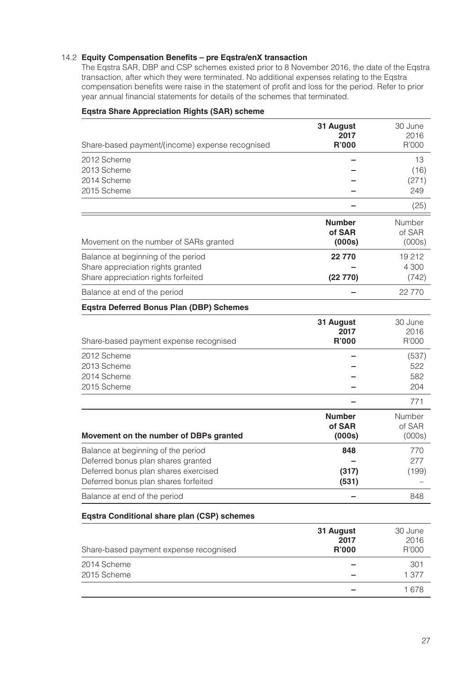#### 14.2 **Equity Compensation Benefits – pre Eqstra/enX transaction**

The Eqstra SAR, DBP and CSP schemes existed prior to 8 November 2016, the date of the Eqstra transaction, after which they were terminated. No additional expenses relating to the Eqstra compensation benefits were raise in the statement of profit and loss for the period. Refer to prior year annual financial statements for details of the schemes that terminated.

|                                                 | 31 August<br>2017 | 30 June<br>2016 |
|-------------------------------------------------|-------------------|-----------------|
| Share-based payment/(income) expense recognised | R'000             | R'000           |
| 2012 Scheme                                     |                   | 13              |
| 2013 Scheme                                     |                   | (16)            |
| 2014 Scheme                                     |                   | (271)           |
| 2015 Scheme                                     |                   | 249             |
|                                                 |                   | (25)            |
|                                                 | <b>Number</b>     | Number          |
|                                                 | of SAR            | of SAR          |
| Movement on the number of SARs granted          | (000s)            | (000s)          |
| Balance at beginning of the period              | 22 770            | 19 212          |
| Share appreciation rights granted               |                   | 4 300           |
| Share appreciation rights forfeited             | (22 770)          | (742)           |
| Balance at end of the period                    |                   | 22 7 7 0        |
| <b>Eqstra Deferred Bonus Plan (DBP) Schemes</b> |                   |                 |
|                                                 | 31 August         | 30 June         |
|                                                 | 2017              | 2016            |
| Share-based payment expense recognised          | <b>R'000</b>      | R'000           |
| 2012 Scheme                                     |                   | (537)           |
| 2013 Scheme                                     |                   | 522             |
| 2014 Scheme                                     |                   | 582             |
| 2015 Scheme                                     |                   | 204             |
|                                                 |                   | 771             |
|                                                 | <b>Number</b>     | Number          |
|                                                 | of SAR            | of SAR          |
| Movement on the number of DBPs granted          | (000s)            | (000s)          |
| Balance at beginning of the period              | 848               | 770             |
| Deferred bonus plan shares granted              |                   | 277             |
| Deferred bonus plan shares exercised            | (317)             | (199)           |
| Deferred bonus plan shares forfeited            | (531)             |                 |
| Balance at end of the period                    |                   | 848             |
| Eqstra Conditional share plan (CSP) schemes     |                   |                 |
|                                                 | 31 August         | 30 June         |

#### **Eqstra Share Appreciation Rights (SAR) scheme**

| Share-based payment expense recognised | 31 August<br>2017<br><b>R'000</b> | 30 June<br>2016<br>R'000 |
|----------------------------------------|-----------------------------------|--------------------------|
| 2014 Scheme                            |                                   | 301                      |
| 2015 Scheme                            |                                   | 1 377                    |
|                                        |                                   | 1 678                    |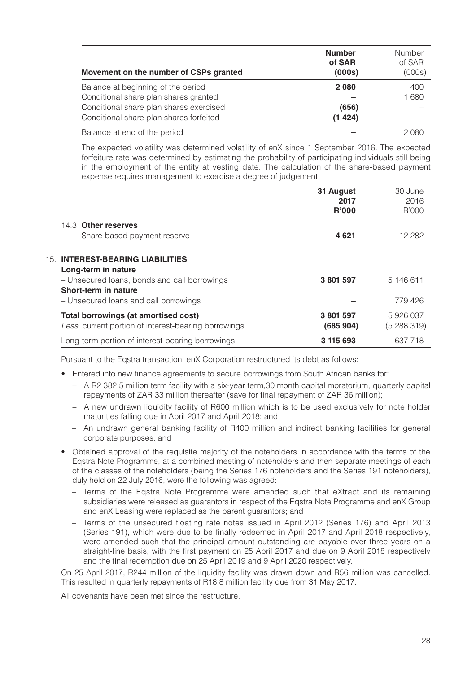| Movement on the number of CSPs granted  | <b>Number</b><br>of SAR<br>(000s) | <b>Number</b><br>of SAR<br>(000s) |
|-----------------------------------------|-----------------------------------|-----------------------------------|
| Balance at beginning of the period      | 2 0 8 0                           | 400                               |
| Conditional share plan shares granted   |                                   | 1680                              |
| Conditional share plan shares exercised | (656)                             |                                   |
| Conditional share plan shares forfeited | (1424)                            |                                   |
| Balance at end of the period            |                                   | 2 O8C                             |

The expected volatility was determined volatility of enX since 1 September 2016. The expected forfeiture rate was determined by estimating the probability of participating individuals still being in the employment of the entity at vesting date. The calculation of the share-based payment expense requires management to exercise a degree of judgement.

|                                                                                                                                                                                 | 31 August<br>2017<br><b>R'000</b> | 30 June<br>2016<br>R'000 |
|---------------------------------------------------------------------------------------------------------------------------------------------------------------------------------|-----------------------------------|--------------------------|
| 14.3 Other reserves                                                                                                                                                             |                                   |                          |
| Share-based payment reserve                                                                                                                                                     | 4621                              | 12 2 8 2                 |
| <b>15. INTEREST-BEARING LIABILITIES</b><br>Long-term in nature<br>- Unsecured loans, bonds and call borrowings<br>Short-term in nature<br>- Unsecured loans and call borrowings | 3 801 597                         | 5 146 611<br>779 426     |
| <b>Total borrowings (at amortised cost)</b><br>Less: current portion of interest-bearing borrowings                                                                             | 3 801 597<br>(685904)             | 5926037<br>(5288319)     |
| Long-term portion of interest-bearing borrowings                                                                                                                                | 3 115 693                         | 637 718                  |

Pursuant to the Eqstra transaction, enX Corporation restructured its debt as follows:

- Entered into new finance agreements to secure borrowings from South African banks for:
	- A R2 382.5 million term facility with a six-year term,30 month capital moratorium, quarterly capital repayments of ZAR 33 million thereafter (save for final repayment of ZAR 36 million);
	- A new undrawn liquidity facility of R600 million which is to be used exclusively for note holder maturities falling due in April 2017 and April 2018; and
	- An undrawn general banking facility of R400 million and indirect banking facilities for general corporate purposes; and
- Obtained approval of the requisite majority of the noteholders in accordance with the terms of the Eqstra Note Programme, at a combined meeting of noteholders and then separate meetings of each of the classes of the noteholders (being the Series 176 noteholders and the Series 191 noteholders), duly held on 22 July 2016, were the following was agreed:
	- Terms of the Eqstra Note Programme were amended such that eXtract and its remaining subsidiaries were released as guarantors in respect of the Eqstra Note Programme and enX Group and enX Leasing were replaced as the parent guarantors; and
	- Terms of the unsecured floating rate notes issued in April 2012 (Series 176) and April 2013 (Series 191), which were due to be finally redeemed in April 2017 and April 2018 respectively, were amended such that the principal amount outstanding are payable over three years on a straight-line basis, with the first payment on 25 April 2017 and due on 9 April 2018 respectively and the final redemption due on 25 April 2019 and 9 April 2020 respectively.

On 25 April 2017, R244 million of the liquidity facility was drawn down and R56 million was cancelled. This resulted in quarterly repayments of R18.8 million facility due from 31 May 2017.

All covenants have been met since the restructure.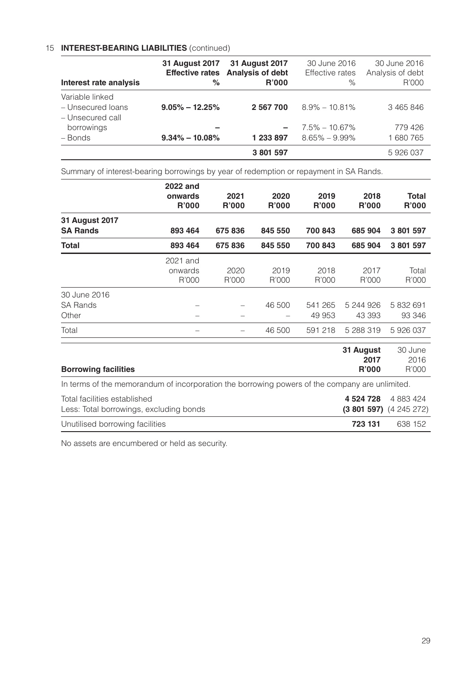#### 15 **INTEREST-BEARING LIABILITIES** (continued)

| Interest rate analysis                                   | <b>31 August 2017</b><br>$\%$ | 31 August 2017<br><b>Effective rates Analysis of debt</b><br>R'000 | 30 June 2016<br>Effective rates<br>℅ | 30 June 2016<br>Analysis of debt<br>R'000 |
|----------------------------------------------------------|-------------------------------|--------------------------------------------------------------------|--------------------------------------|-------------------------------------------|
| Variable linked<br>- Unsecured loans<br>- Unsecured call | $9.05\% - 12.25\%$            | 2 567 700                                                          | $8.9\% - 10.81\%$                    | 3465846                                   |
| borrowings                                               |                               | $\overline{\phantom{a}}$                                           | $7.5\% - 10.67\%$                    | 779426                                    |
| – Bonds                                                  | $9.34\% - 10.08\%$            | 1 233 897                                                          | $8.65\% - 9.99\%$                    | 1 680 765                                 |
|                                                          |                               | 3 801 597                                                          |                                      | 5926037                                   |

Summary of interest-bearing borrowings by year of redemption or repayment in SA Rands.

|                                                                                                | <b>2022 and</b><br>onwards<br>R'000 | 2021<br><b>R'000</b> | 2020<br><b>R'000</b> | 2019<br>R'000 | 2018<br>R'000              | <b>Total</b><br>R'000                |
|------------------------------------------------------------------------------------------------|-------------------------------------|----------------------|----------------------|---------------|----------------------------|--------------------------------------|
| 31 August 2017                                                                                 |                                     |                      |                      |               |                            |                                      |
| <b>SA Rands</b>                                                                                | 893 464                             | 675 836              | 845 550              | 700 843       | 685 904                    | 3 801 597                            |
| Total                                                                                          | 893 464                             | 675 836              | 845 550              | 700 843       | 685 904                    | 3 801 597                            |
|                                                                                                | 2021 and                            |                      |                      |               |                            |                                      |
|                                                                                                | onwards<br>R'000                    | 2020<br>R'000        | 2019<br>R'000        | 2018<br>R'000 | 2017<br>R'000              | Total<br>R'000                       |
| 30 June 2016                                                                                   |                                     |                      |                      |               |                            |                                      |
| <b>SA Rands</b>                                                                                |                                     |                      | 46 500               | 541 265       | 5 244 926                  | 5 832 691                            |
| Other                                                                                          |                                     |                      |                      | 49 953        | 43 393                     | 93 346                               |
| Total                                                                                          |                                     |                      | 46 500               | 591 218       | 5 288 319                  | 5 926 037                            |
| <b>Borrowing facilities</b>                                                                    |                                     |                      |                      |               | 31 August<br>2017<br>R'000 | 30 June<br>2016<br>R'000             |
| In terms of the memorandum of incorporation the borrowing powers of the company are unlimited. |                                     |                      |                      |               |                            |                                      |
| Total facilities established<br>Less: Total borrowings, excluding bonds                        |                                     |                      |                      |               | 4 524 728                  | 4 883 424<br>$(3801597)$ $(4245272)$ |

Unutilised borrowing facilities **723 131** 638 152

No assets are encumbered or held as security.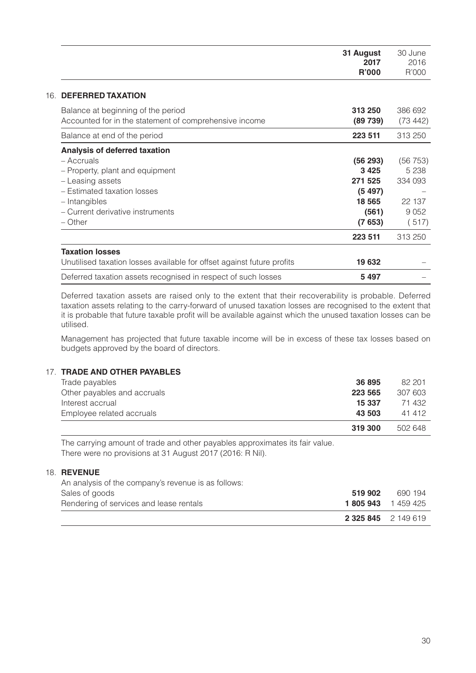|                                                                                                                                                                                                   | 31 August<br>2017<br><b>R'000</b>                                   | 30 June<br>2016<br>R'000                                    |
|---------------------------------------------------------------------------------------------------------------------------------------------------------------------------------------------------|---------------------------------------------------------------------|-------------------------------------------------------------|
| <b>DEFERRED TAXATION</b><br>16.                                                                                                                                                                   |                                                                     |                                                             |
| Balance at beginning of the period<br>Accounted for in the statement of comprehensive income                                                                                                      | 313 250<br>(89739)                                                  | 386 692<br>(73 442)                                         |
| Balance at end of the period                                                                                                                                                                      | 223 511                                                             | 313 250                                                     |
| Analysis of deferred taxation<br>- Accruals<br>- Property, plant and equipment<br>- Leasing assets<br>- Estimated taxation losses<br>- Intangibles<br>- Current derivative instruments<br>– Other | (56 293)<br>3425<br>271 525<br>(5497)<br>18 5 65<br>(561)<br>(7653) | (56753)<br>5 2 3 8<br>334 093<br>22 137<br>9 0 5 2<br>(517) |
|                                                                                                                                                                                                   | 223 511                                                             | 313 250                                                     |
| <b>Taxation losses</b><br>Unutilised taxation losses available for offset against future profits                                                                                                  | 19 632                                                              |                                                             |
| Deferred taxation assets recognised in respect of such losses                                                                                                                                     | 5 4 9 7                                                             |                                                             |

Deferred taxation assets are raised only to the extent that their recoverability is probable. Deferred taxation assets relating to the carry-forward of unused taxation losses are recognised to the extent that it is probable that future taxable profit will be available against which the unused taxation losses can be utilised.

Management has projected that future taxable income will be in excess of these tax losses based on budgets approved by the board of directors.

#### 17. **TRADE AND OTHER PAYABLES**

| Trade payables              | 36 895  | 82 201  |
|-----------------------------|---------|---------|
| Other payables and accruals | 223 565 | 307 603 |
| Interest accrual            | 15 337  | 71 432  |
| Employee related accruals   | 43 503  | 41 412  |
|                             | 319 300 | 502 648 |

The carrying amount of trade and other payables approximates its fair value. There were no provisions at 31 August 2017 (2016: R Nil).

#### 18. **REVENUE**

| Sales of goods<br>519 902<br>Rendering of services and lease rentals | 690 194<br><b>1805 943</b> 1459 425 |
|----------------------------------------------------------------------|-------------------------------------|
| <b>2 325 845</b> 2 149 619                                           |                                     |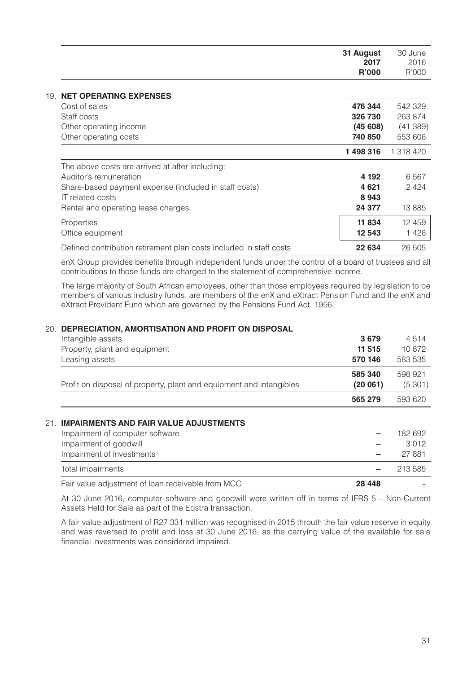|                                                                    | 31 August<br>2017<br><b>R'000</b> | 30 June<br>2016<br>R'000 |
|--------------------------------------------------------------------|-----------------------------------|--------------------------|
|                                                                    |                                   |                          |
| <b>19. NET OPERATING EXPENSES</b>                                  |                                   |                          |
| Cost of sales                                                      | 476 344                           | 542 329                  |
| Staff costs                                                        | 326 730                           | 263 874                  |
| Other operating income                                             | (45608)                           | (41389)                  |
| Other operating costs                                              | 740 850                           | 553 606                  |
|                                                                    | 1498316                           | 1 318 420                |
| The above costs are arrived at after including:                    |                                   |                          |
| Auditor's remuneration                                             | 4 192                             | 6567                     |
| Share-based payment expense (included in staff costs)              | 4621                              | 2 4 2 4                  |
| <b>IT</b> related costs                                            | 8943                              |                          |
| Rental and operating lease charges                                 | 24 377                            | 13885                    |
| Properties                                                         | 11 834                            | 12 459                   |
| Office equipment                                                   | 12 543                            | 1 4 2 6                  |
| Defined contribution retirement plan costs included in staff costs | 22 634                            | 26 505                   |

enX Group provides benefits through independent funds under the control of a board of trustees and all contributions to those funds are charged to the statement of comprehensive income.

The large majority of South African employees, other than those employees required by legislation to be members of various industry funds, are members of the enX and eXtract Pension Fund and the enX and eXtract Provident Fund which are governed by the Pensions Fund Act, 1956.

#### 20. **DEPRECIATION, AMORTISATION AND PROFIT ON DISPOSAL**

| Intangible assets<br>Property, plant and equipment<br>Leasing assets                                                                 | 3679<br>11 515<br>570 146 | 4514<br>10872<br>583 535  |
|--------------------------------------------------------------------------------------------------------------------------------------|---------------------------|---------------------------|
| Profit on disposal of property, plant and equipment and intangibles                                                                  | 585 340<br>(20061)        | 598 921<br>(5301)         |
|                                                                                                                                      | 565 279                   | 593 620                   |
| 21. IMPAIRMENTS AND FAIR VALUE ADJUSTMENTS<br>Impairment of computer software<br>Impairment of goodwill<br>Impairment of investments |                           | 182 692<br>3012<br>27 881 |
| Total impairments                                                                                                                    |                           | 213 585                   |
| Fair value adjustment of loan receivable from MCC                                                                                    | 28 4 4 8                  |                           |

At 30 June 2016, computer software and goodwill were written off in terms of IFRS 5 – Non-Current Assets Held for Sale as part of the Eqstra transaction.

A fair value adjustment of R27 331 million was recognised in 2015 throuth the fair value reserve in equity and was reversed to profit and loss at 30 June 2016, as the carrying value of the available for sale financial investments was considered impaired.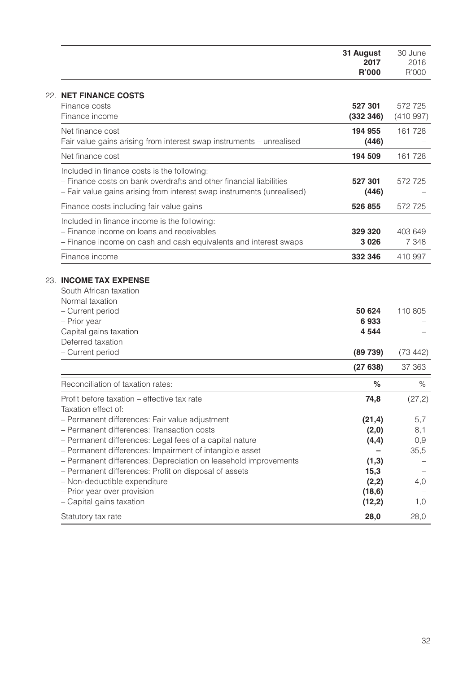|                                                                                                                                                                                                                                                                                                                                                                                                                                           | 31 August<br>2017<br>R'000                                               | 30 June<br>2016<br>R'000                |
|-------------------------------------------------------------------------------------------------------------------------------------------------------------------------------------------------------------------------------------------------------------------------------------------------------------------------------------------------------------------------------------------------------------------------------------------|--------------------------------------------------------------------------|-----------------------------------------|
| 22. NET FINANCE COSTS                                                                                                                                                                                                                                                                                                                                                                                                                     |                                                                          |                                         |
| Finance costs<br>Finance income                                                                                                                                                                                                                                                                                                                                                                                                           | 527 301<br>(332 346)                                                     | 572725<br>(410997)                      |
| Net finance cost<br>Fair value gains arising from interest swap instruments - unrealised                                                                                                                                                                                                                                                                                                                                                  | 194 955<br>(446)                                                         | 161728                                  |
| Net finance cost                                                                                                                                                                                                                                                                                                                                                                                                                          | 194 509                                                                  | 161728                                  |
| Included in finance costs is the following:<br>- Finance costs on bank overdrafts and other financial liabilities<br>- Fair value gains arising from interest swap instruments (unrealised)                                                                                                                                                                                                                                               | 527 301<br>(446)                                                         | 572 725                                 |
| Finance costs including fair value gains                                                                                                                                                                                                                                                                                                                                                                                                  | 526 855                                                                  | 572725                                  |
| Included in finance income is the following:<br>- Finance income on loans and receivables<br>- Finance income on cash and cash equivalents and interest swaps                                                                                                                                                                                                                                                                             | 329 320<br>3 0 26                                                        | 403 649<br>7 3 4 8                      |
| Finance income                                                                                                                                                                                                                                                                                                                                                                                                                            | 332 346                                                                  | 410 997                                 |
| South African taxation<br>Normal taxation<br>- Current period<br>- Prior year<br>Capital gains taxation<br>Deferred taxation<br>- Current period                                                                                                                                                                                                                                                                                          | 50 624<br>6933<br>4 5 4 4<br>(89739)                                     | 110 805<br>(73 442)                     |
|                                                                                                                                                                                                                                                                                                                                                                                                                                           | (27638)                                                                  | 37 363                                  |
| Reconciliation of taxation rates:                                                                                                                                                                                                                                                                                                                                                                                                         | %                                                                        | $\%$                                    |
| Profit before taxation – effective tax rate<br>Taxation effect of:                                                                                                                                                                                                                                                                                                                                                                        | 74,8                                                                     | (27, 2)                                 |
| - Permanent differences: Fair value adjustment<br>- Permanent differences: Transaction costs<br>- Permanent differences: Legal fees of a capital nature<br>- Permanent differences: Impairment of intangible asset<br>- Permanent differences: Depreciation on leasehold improvements<br>- Permanent differences: Profit on disposal of assets<br>- Non-deductible expenditure<br>- Prior year over provision<br>- Capital gains taxation | (21, 4)<br>(2,0)<br>(4,4)<br>(1,3)<br>15,3<br>(2,2)<br>(18, 6)<br>(12,2) | 5,7<br>8,1<br>0,9<br>35,5<br>4,0<br>1,0 |
| Statutory tax rate                                                                                                                                                                                                                                                                                                                                                                                                                        | 28,0                                                                     | 28,0                                    |
|                                                                                                                                                                                                                                                                                                                                                                                                                                           |                                                                          |                                         |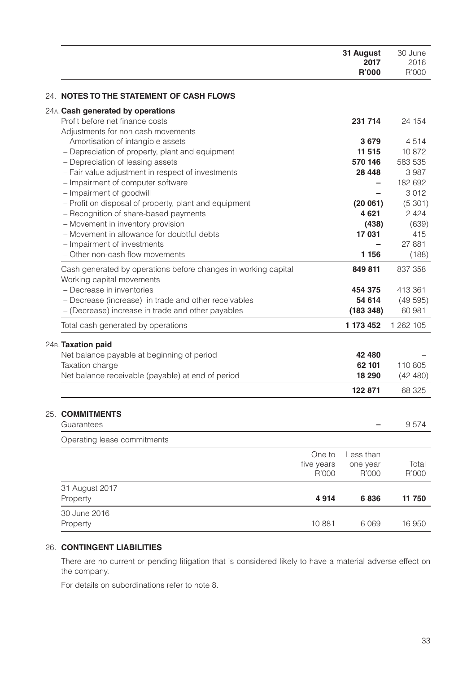|                                                                                                                                                                                                                                                                                                                                                                                                                                                                                                         |                               | 31 August<br>2017<br><b>R'000</b>                                                      | 30 June<br>2016<br>R'000                                                                                       |
|---------------------------------------------------------------------------------------------------------------------------------------------------------------------------------------------------------------------------------------------------------------------------------------------------------------------------------------------------------------------------------------------------------------------------------------------------------------------------------------------------------|-------------------------------|----------------------------------------------------------------------------------------|----------------------------------------------------------------------------------------------------------------|
| 24. NOTES TO THE STATEMENT OF CASH FLOWS                                                                                                                                                                                                                                                                                                                                                                                                                                                                |                               |                                                                                        |                                                                                                                |
| 24A. Cash generated by operations<br>Profit before net finance costs<br>Adjustments for non cash movements                                                                                                                                                                                                                                                                                                                                                                                              |                               | 231 714                                                                                | 24 154                                                                                                         |
| - Amortisation of intangible assets<br>- Depreciation of property, plant and equipment<br>- Depreciation of leasing assets<br>- Fair value adjustment in respect of investments<br>- Impairment of computer software<br>- Impairment of goodwill<br>- Profit on disposal of property, plant and equipment<br>- Recognition of share-based payments<br>- Movement in inventory provision<br>- Movement in allowance for doubtful debts<br>- Impairment of investments<br>- Other non-cash flow movements |                               | 3679<br>11 515<br>570 146<br>28 4 4 8<br>(20061)<br>4621<br>(438)<br>17 031<br>1 1 5 6 | 4514<br>10872<br>583 535<br>3 9 8 7<br>182 692<br>3012<br>(5301)<br>2 4 2 4<br>(639)<br>415<br>27 881<br>(188) |
| Cash generated by operations before changes in working capital<br>Working capital movements<br>- Decrease in inventories<br>- Decrease (increase) in trade and other receivables<br>- (Decrease) increase in trade and other payables                                                                                                                                                                                                                                                                   |                               | 849 811<br>454 375<br>54 614<br>(183 348)                                              | 837 358<br>413 361<br>(49595)<br>60 981                                                                        |
| Total cash generated by operations                                                                                                                                                                                                                                                                                                                                                                                                                                                                      |                               | 1 173 452                                                                              | 1 262 105                                                                                                      |
| 24 <sub>B</sub> . Taxation paid<br>Net balance payable at beginning of period<br>Taxation charge<br>Net balance receivable (payable) at end of period                                                                                                                                                                                                                                                                                                                                                   |                               | 42 480<br>62 101<br>18 290<br>122 871                                                  | 110 805<br>(42 480)<br>68 325                                                                                  |
| 25. COMMITMENTS<br>Guarantees                                                                                                                                                                                                                                                                                                                                                                                                                                                                           |                               |                                                                                        | 9574                                                                                                           |
| Operating lease commitments                                                                                                                                                                                                                                                                                                                                                                                                                                                                             |                               |                                                                                        |                                                                                                                |
|                                                                                                                                                                                                                                                                                                                                                                                                                                                                                                         | One to<br>five years<br>R'000 | Less than<br>one year<br>R'000                                                         | Total<br>R'000                                                                                                 |
| 31 August 2017<br>Property                                                                                                                                                                                                                                                                                                                                                                                                                                                                              | 4914                          | 6836                                                                                   | 11 750                                                                                                         |
| 30 June 2016<br>Property                                                                                                                                                                                                                                                                                                                                                                                                                                                                                | 10881                         | 6 0 6 9                                                                                | 16 950                                                                                                         |

### 26. **CONTINGENT LIABILITIES**

There are no current or pending litigation that is considered likely to have a material adverse effect on the company.

For details on subordinations refer to note 8.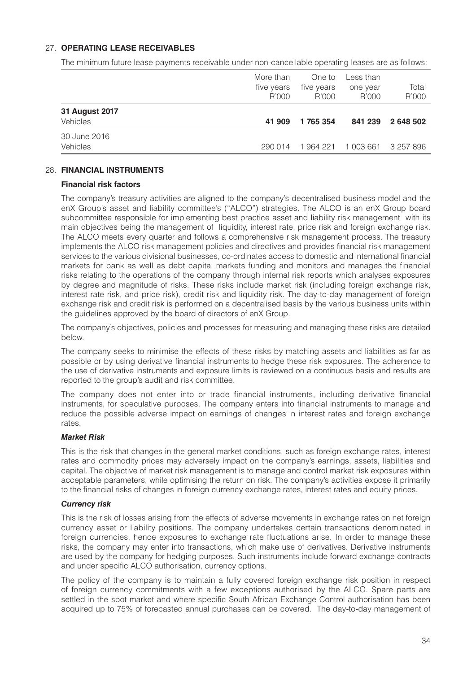#### 27. **OPERATING LEASE RECEIVABLES**

The minimum future lease payments receivable under non-cancellable operating leases are as follows:

|                            | More than<br>five years<br>R'000 | One to<br>five years<br>R'000 | Less than<br>one year<br>R'000 | Total<br>R'000 |
|----------------------------|----------------------------------|-------------------------------|--------------------------------|----------------|
| 31 August 2017<br>Vehicles | 41 909                           | 1765354                       | 841 239                        | 2 648 502      |
| 30 June 2016<br>Vehicles   | 290 014                          | 1 964 221                     | 1 003 661                      | 3 257 896      |

#### 28. **FINANCIAL INSTRUMENTS**

#### **Financial risk factors**

The company's treasury activities are aligned to the company's decentralised business model and the enX Group's asset and liability committee's ("ALCO") strategies. The ALCO is an enX Group board subcommittee responsible for implementing best practice asset and liability risk management with its main objectives being the management of liquidity, interest rate, price risk and foreign exchange risk. The ALCO meets every quarter and follows a comprehensive risk management process. The treasury implements the ALCO risk management policies and directives and provides financial risk management services to the various divisional businesses, co-ordinates access to domestic and international financial markets for bank as well as debt capital markets funding and monitors and manages the financial risks relating to the operations of the company through internal risk reports which analyses exposures by degree and magnitude of risks. These risks include market risk (including foreign exchange risk, interest rate risk, and price risk), credit risk and liquidity risk. The day-to-day management of foreign exchange risk and credit risk is performed on a decentralised basis by the various business units within the guidelines approved by the board of directors of enX Group.

The company's objectives, policies and processes for measuring and managing these risks are detailed below.

The company seeks to minimise the effects of these risks by matching assets and liabilities as far as possible or by using derivative financial instruments to hedge these risk exposures. The adherence to the use of derivative instruments and exposure limits is reviewed on a continuous basis and results are reported to the group's audit and risk committee.

The company does not enter into or trade financial instruments, including derivative financial instruments, for speculative purposes. The company enters into financial instruments to manage and reduce the possible adverse impact on earnings of changes in interest rates and foreign exchange rates.

#### *Market Risk*

This is the risk that changes in the general market conditions, such as foreign exchange rates, interest rates and commodity prices may adversely impact on the company's earnings, assets, liabilities and capital. The objective of market risk management is to manage and control market risk exposures within acceptable parameters, while optimising the return on risk. The company's activities expose it primarily to the financial risks of changes in foreign currency exchange rates, interest rates and equity prices.

#### *Currency risk*

This is the risk of losses arising from the effects of adverse movements in exchange rates on net foreign currency asset or liability positions. The company undertakes certain transactions denominated in foreign currencies, hence exposures to exchange rate fluctuations arise. In order to manage these risks, the company may enter into transactions, which make use of derivatives. Derivative instruments are used by the company for hedging purposes. Such instruments include forward exchange contracts and under specific ALCO authorisation, currency options.

The policy of the company is to maintain a fully covered foreign exchange risk position in respect of foreign currency commitments with a few exceptions authorised by the ALCO. Spare parts are settled in the spot market and where specific South African Exchange Control authorisation has been acquired up to 75% of forecasted annual purchases can be covered. The day-to-day management of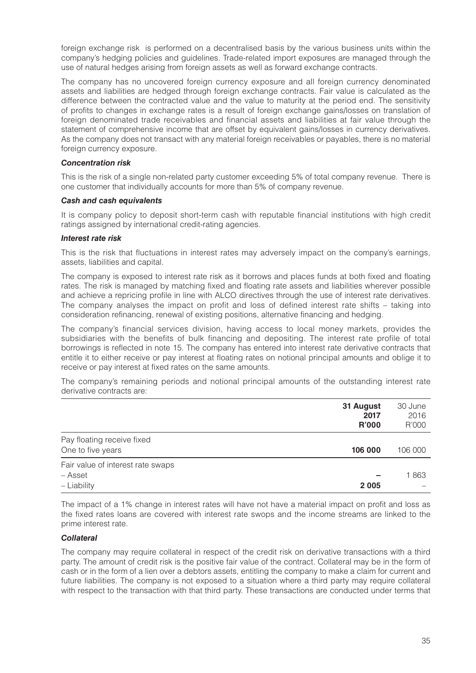foreign exchange risk is performed on a decentralised basis by the various business units within the company's hedging policies and guidelines. Trade-related import exposures are managed through the use of natural hedges arising from foreign assets as well as forward exchange contracts.

The company has no uncovered foreign currency exposure and all foreign currency denominated assets and liabilities are hedged through foreign exchange contracts. Fair value is calculated as the difference between the contracted value and the value to maturity at the period end. The sensitivity of profits to changes in exchange rates is a result of foreign exchange gains/losses on translation of foreign denominated trade receivables and financial assets and liabilities at fair value through the statement of comprehensive income that are offset by equivalent gains/losses in currency derivatives. As the company does not transact with any material foreign receivables or payables, there is no material foreign currency exposure.

#### *Concentration risk*

This is the risk of a single non-related party customer exceeding 5% of total company revenue. There is one customer that individually accounts for more than 5% of company revenue.

#### *Cash and cash equivalents*

It is company policy to deposit short-term cash with reputable financial institutions with high credit ratings assigned by international credit-rating agencies.

#### *Interest rate risk*

This is the risk that fluctuations in interest rates may adversely impact on the company's earnings, assets, liabilities and capital.

The company is exposed to interest rate risk as it borrows and places funds at both fixed and floating rates. The risk is managed by matching fixed and floating rate assets and liabilities wherever possible and achieve a repricing profile in line with ALCO directives through the use of interest rate derivatives. The company analyses the impact on profit and loss of defined interest rate shifts – taking into consideration refinancing, renewal of existing positions, alternative financing and hedging.

The company's financial services division, having access to local money markets, provides the subsidiaries with the benefits of bulk financing and depositing. The interest rate profile of total borrowings is reflected in note 15. The company has entered into interest rate derivative contracts that entitle it to either receive or pay interest at floating rates on notional principal amounts and oblige it to receive or pay interest at fixed rates on the same amounts.

The company's remaining periods and notional principal amounts of the outstanding interest rate derivative contracts are:

|                                                             | 31 August<br>2017<br><b>R'000</b> | 30 June<br>2016<br>R'000 |
|-------------------------------------------------------------|-----------------------------------|--------------------------|
| Pay floating receive fixed<br>One to five years             | 106 000                           | 106 000                  |
| Fair value of interest rate swaps<br>– Asset<br>- Liability | 2005                              | 1863                     |

The impact of a 1% change in interest rates will have not have a material impact on profit and loss as the fixed rates loans are covered with interest rate swops and the income streams are linked to the prime interest rate.

#### *Collateral*

The company may require collateral in respect of the credit risk on derivative transactions with a third party. The amount of credit risk is the positive fair value of the contract. Collateral may be in the form of cash or in the form of a lien over a debtors assets, entitling the company to make a claim for current and future liabilities. The company is not exposed to a situation where a third party may require collateral with respect to the transaction with that third party. These transactions are conducted under terms that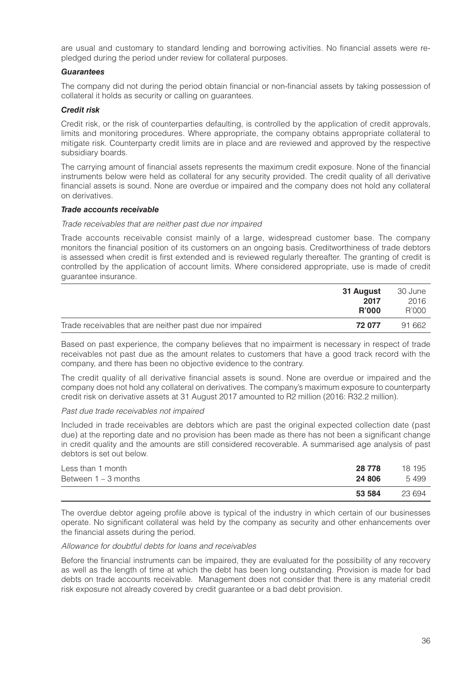are usual and customary to standard lending and borrowing activities. No financial assets were repledged during the period under review for collateral purposes.

#### *Guarantees*

The company did not during the period obtain financial or non-financial assets by taking possession of collateral it holds as security or calling on guarantees.

#### *Credit risk*

Credit risk, or the risk of counterparties defaulting, is controlled by the application of credit approvals, limits and monitoring procedures. Where appropriate, the company obtains appropriate collateral to mitigate risk. Counterparty credit limits are in place and are reviewed and approved by the respective subsidiary boards.

The carrying amount of financial assets represents the maximum credit exposure. None of the financial instruments below were held as collateral for any security provided. The credit quality of all derivative financial assets is sound. None are overdue or impaired and the company does not hold any collateral on derivatives.

#### *Trade accounts receivable*

#### *Trade receivables that are neither past due nor impaired*

Trade accounts receivable consist mainly of a large, widespread customer base. The company monitors the financial position of its customers on an ongoing basis. Creditworthiness of trade debtors is assessed when credit is first extended and is reviewed regularly thereafter. The granting of credit is controlled by the application of account limits. Where considered appropriate, use is made of credit guarantee insurance.

| 31 August                                                |              | 30 June |
|----------------------------------------------------------|--------------|---------|
|                                                          | 2017         | 2016    |
|                                                          | <b>R'000</b> | R'000   |
| Trade receivables that are neither past due nor impaired | 72 077       | 91 662  |

Based on past experience, the company believes that no impairment is necessary in respect of trade receivables not past due as the amount relates to customers that have a good track record with the company, and there has been no objective evidence to the contrary.

The credit quality of all derivative financial assets is sound. None are overdue or impaired and the company does not hold any collateral on derivatives. The company's maximum exposure to counterparty credit risk on derivative assets at 31 August 2017 amounted to R2 million (2016: R32.2 million).

#### *Past due trade receivables not impaired*

Included in trade receivables are debtors which are past the original expected collection date (past due) at the reporting date and no provision has been made as there has not been a significant change in credit quality and the amounts are still considered recoverable. A summarised age analysis of past debtors is set out below.

| Less than 1 month    | 28 778 | 18 195 |
|----------------------|--------|--------|
| Between 1 – 3 months | 24 806 | 5 499  |
|                      | 53 584 | 23 694 |

The overdue debtor ageing profile above is typical of the industry in which certain of our businesses operate. No significant collateral was held by the company as security and other enhancements over the financial assets during the period.

#### *Allowance for doubtful debts for loans and receivables*

Before the financial instruments can be impaired, they are evaluated for the possibility of any recovery as well as the length of time at which the debt has been long outstanding. Provision is made for bad debts on trade accounts receivable. Management does not consider that there is any material credit risk exposure not already covered by credit guarantee or a bad debt provision.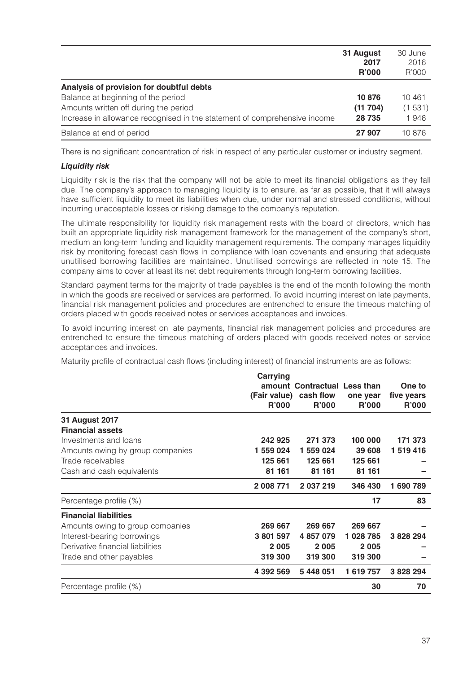|                                                                           | 31 August<br>2017<br><b>R'000</b> | 30 June<br>2016<br>R'000 |
|---------------------------------------------------------------------------|-----------------------------------|--------------------------|
| Analysis of provision for doubtful debts                                  |                                   |                          |
| Balance at beginning of the period                                        | 10 876                            | 10461                    |
| Amounts written off during the period                                     | (11 704)                          | (1531)                   |
| Increase in allowance recognised in the statement of comprehensive income | 28 735                            | 1946                     |
| Balance at end of period                                                  | 27 907                            | 10876                    |

There is no significant concentration of risk in respect of any particular customer or industry segment.

#### *Liquidity risk*

Liquidity risk is the risk that the company will not be able to meet its financial obligations as they fall due. The company's approach to managing liquidity is to ensure, as far as possible, that it will always have sufficient liquidity to meet its liabilities when due, under normal and stressed conditions, without incurring unacceptable losses or risking damage to the company's reputation.

The ultimate responsibility for liquidity risk management rests with the board of directors, which has built an appropriate liquidity risk management framework for the management of the company's short, medium an long-term funding and liquidity management requirements. The company manages liquidity risk by monitoring forecast cash flows in compliance with loan covenants and ensuring that adequate unutilised borrowing facilities are maintained. Unutilised borrowings are reflected in note 15. The company aims to cover at least its net debt requirements through long-term borrowing facilities.

Standard payment terms for the majority of trade payables is the end of the month following the month in which the goods are received or services are performed. To avoid incurring interest on late payments, financial risk management policies and procedures are entrenched to ensure the timeous matching of orders placed with goods received notes or services acceptances and invoices.

To avoid incurring interest on late payments, financial risk management policies and procedures are entrenched to ensure the timeous matching of orders placed with goods received notes or service acceptances and invoices.

Maturity profile of contractual cash flows (including interest) of financial instruments are as follows:

|                                  | <b>Carrying</b><br><b>R'000</b> | amount Contractual Less than<br>(Fair value) cash flow<br><b>R'000</b> | one year<br><b>R'000</b> | One to<br>five years<br><b>R'000</b> |
|----------------------------------|---------------------------------|------------------------------------------------------------------------|--------------------------|--------------------------------------|
| 31 August 2017                   |                                 |                                                                        |                          |                                      |
| <b>Financial assets</b>          |                                 |                                                                        |                          |                                      |
| Investments and loans            | 242 925                         | 271 373                                                                | 100 000                  | 171 373                              |
| Amounts owing by group companies | 1 559 024                       | 1 559 024                                                              | 39 608                   | 1 519 416                            |
| Trade receivables                | 125 661                         | 125 661                                                                | 125 661                  |                                      |
| Cash and cash equivalents        | 81 161                          | 81 161                                                                 | 81 161                   |                                      |
|                                  | 2 008 771                       | 2 037 219                                                              | 346 430                  | 1690789                              |
| Percentage profile (%)           |                                 |                                                                        | 17                       | 83                                   |
| <b>Financial liabilities</b>     |                                 |                                                                        |                          |                                      |
| Amounts owing to group companies | 269 667                         | 269 667                                                                | 269 667                  |                                      |
| Interest-bearing borrowings      | 3 801 597                       | 4 857 079                                                              | 1028785                  | 3 828 294                            |
| Derivative financial liabilities | 2 0 0 5                         | 2 0 0 5                                                                | 2005                     |                                      |
| Trade and other payables         | 319 300                         | 319 300                                                                | 319 300                  |                                      |
|                                  | 4 392 569                       | 5 448 051                                                              | 1 619 757                | 3 828 294                            |
| Percentage profile (%)           |                                 |                                                                        | 30                       | 70                                   |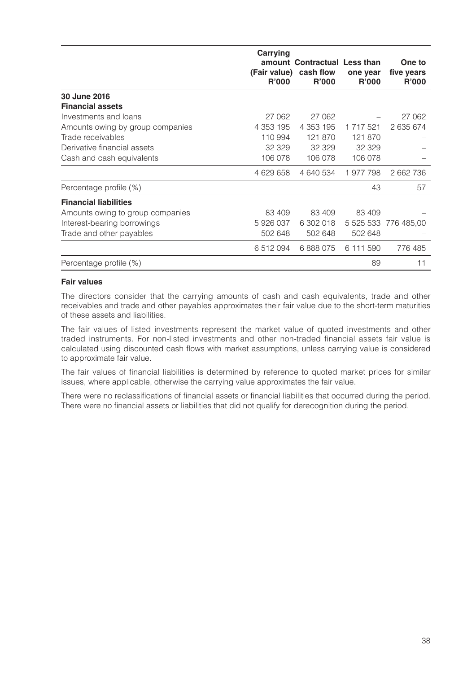|                                  | <b>Carrying</b><br>(Fair value)<br><b>R'000</b> | amount Contractual Less than<br>cash flow<br><b>R'000</b> | one year<br><b>R'000</b> | One to<br>five years<br><b>R'000</b> |
|----------------------------------|-------------------------------------------------|-----------------------------------------------------------|--------------------------|--------------------------------------|
| 30 June 2016                     |                                                 |                                                           |                          |                                      |
| <b>Financial assets</b>          |                                                 |                                                           |                          |                                      |
| Investments and loans            | 27 062                                          | 27 062                                                    |                          | 27 062                               |
| Amounts owing by group companies | 4 353 195                                       | 4 353 195                                                 | 1 7 1 7 5 2 1            | 2 635 674                            |
| Trade receivables                | 110 994                                         | 121 870                                                   | 121 870                  |                                      |
| Derivative financial assets      | 32 329                                          | 32 329                                                    | 32 329                   |                                      |
| Cash and cash equivalents        | 106 078                                         | 106 078                                                   | 106 078                  |                                      |
|                                  | 4 629 658                                       | 4 640 534                                                 | 1977798                  | 2 662 736                            |
| Percentage profile (%)           |                                                 |                                                           | 43                       | 57                                   |
| <b>Financial liabilities</b>     |                                                 |                                                           |                          |                                      |
| Amounts owing to group companies | 83 409                                          | 83 409                                                    | 83 409                   |                                      |
| Interest-bearing borrowings      | 5 926 037                                       | 6 302 018                                                 | 5 5 2 5 5 3 3            | 776 485,00                           |
| Trade and other payables         | 502 648                                         | 502 648                                                   | 502 648                  |                                      |
|                                  | 6 512 094                                       | 6888075                                                   | 6 111 590                | 776 485                              |
| Percentage profile (%)           |                                                 |                                                           | 89                       | 11                                   |

#### **Fair values**

The directors consider that the carrying amounts of cash and cash equivalents, trade and other receivables and trade and other payables approximates their fair value due to the short-term maturities of these assets and liabilities.

The fair values of listed investments represent the market value of quoted investments and other traded instruments. For non-listed investments and other non-traded financial assets fair value is calculated using discounted cash flows with market assumptions, unless carrying value is considered to approximate fair value.

The fair values of financial liabilities is determined by reference to quoted market prices for similar issues, where applicable, otherwise the carrying value approximates the fair value.

There were no reclassifications of financial assets or financial liabilities that occurred during the period. There were no financial assets or liabilities that did not qualify for derecognition during the period.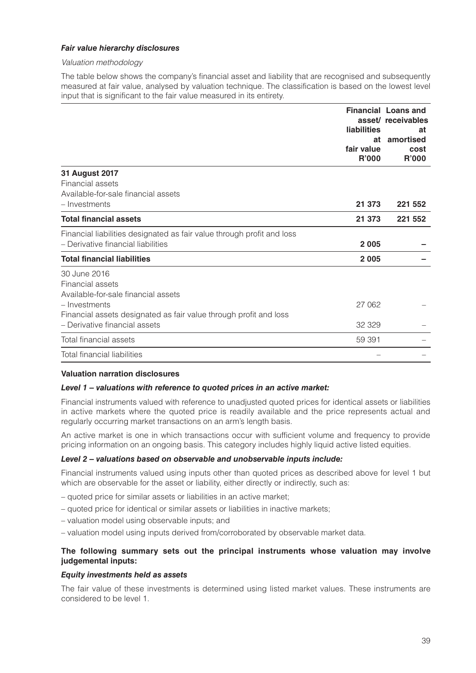#### *Fair value hierarchy disclosures*

#### *Valuation methodology*

The table below shows the company's financial asset and liability that are recognised and subsequently measured at fair value, analysed by valuation technique. The classification is based on the lowest level input that is significant to the fair value measured in its entirety.

|                                                                        |                    | <b>Financial Loans and</b> |
|------------------------------------------------------------------------|--------------------|----------------------------|
|                                                                        | <b>liabilities</b> | asset/ receivables<br>at   |
|                                                                        | at                 | amortised                  |
|                                                                        | fair value         | cost                       |
|                                                                        | <b>R'000</b>       | R'000                      |
| 31 August 2017                                                         |                    |                            |
| Financial assets                                                       |                    |                            |
| Available-for-sale financial assets                                    |                    |                            |
| - Investments                                                          | 21 373             | 221 552                    |
| <b>Total financial assets</b>                                          | 21 373             | 221 552                    |
| Financial liabilities designated as fair value through profit and loss |                    |                            |
| - Derivative financial liabilities                                     | 2005               |                            |
| <b>Total financial liabilities</b>                                     | 2005               |                            |
| 30 June 2016                                                           |                    |                            |
| Financial assets                                                       |                    |                            |
| Available-for-sale financial assets                                    |                    |                            |
| - Investments                                                          | 27 062             |                            |
| Financial assets designated as fair value through profit and loss      |                    |                            |
| - Derivative financial assets                                          | 32 329             |                            |
| Total financial assets                                                 | 59 391             |                            |
| Total financial liabilities                                            |                    |                            |

#### **Valuation narration disclosures**

#### *Level 1 – valuations with reference to quoted prices in an active market:*

Financial instruments valued with reference to unadjusted quoted prices for identical assets or liabilities in active markets where the quoted price is readily available and the price represents actual and regularly occurring market transactions on an arm's length basis.

An active market is one in which transactions occur with sufficient volume and frequency to provide pricing information on an ongoing basis. This category includes highly liquid active listed equities.

#### *Level 2 – valuations based on observable and unobservable inputs include:*

Financial instruments valued using inputs other than quoted prices as described above for level 1 but which are observable for the asset or liability, either directly or indirectly, such as:

- quoted price for similar assets or liabilities in an active market;
- quoted price for identical or similar assets or liabilities in inactive markets;
- valuation model using observable inputs; and
- valuation model using inputs derived from/corroborated by observable market data.

#### **The following summary sets out the principal instruments whose valuation may involve judgemental inputs:**

#### *Equity investments held as assets*

The fair value of these investments is determined using listed market values. These instruments are considered to be level 1.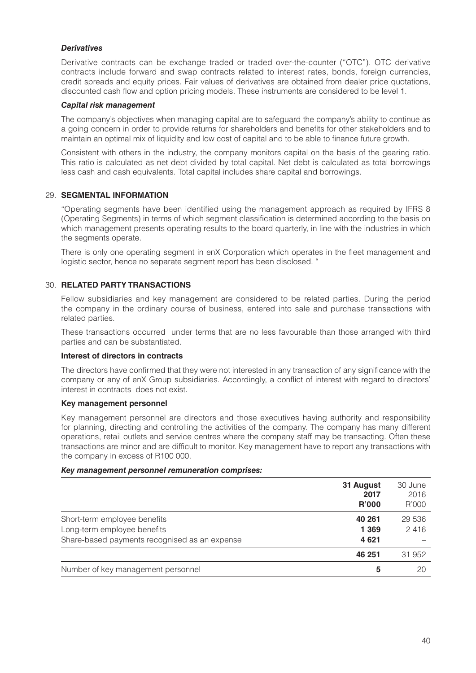#### *Derivatives*

Derivative contracts can be exchange traded or traded over-the-counter ("OTC"). OTC derivative contracts include forward and swap contracts related to interest rates, bonds, foreign currencies, credit spreads and equity prices. Fair values of derivatives are obtained from dealer price quotations, discounted cash flow and option pricing models. These instruments are considered to be level 1.

#### *Capital risk management*

The company's objectives when managing capital are to safeguard the company's ability to continue as a going concern in order to provide returns for shareholders and benefits for other stakeholders and to maintain an optimal mix of liquidity and low cost of capital and to be able to finance future growth.

Consistent with others in the industry, the company monitors capital on the basis of the gearing ratio. This ratio is calculated as net debt divided by total capital. Net debt is calculated as total borrowings less cash and cash equivalents. Total capital includes share capital and borrowings.

#### 29. **SEGMENTAL INFORMATION**

"Operating segments have been identified using the management approach as required by IFRS 8 (Operating Segments) in terms of which segment classification is determined according to the basis on which management presents operating results to the board quarterly, in line with the industries in which the segments operate.

There is only one operating segment in enX Corporation which operates in the fleet management and logistic sector, hence no separate segment report has been disclosed. "

#### 30. **RELATED PARTY TRANSACTIONS**

Fellow subsidiaries and key management are considered to be related parties. During the period the company in the ordinary course of business, entered into sale and purchase transactions with related parties.

These transactions occurred under terms that are no less favourable than those arranged with third parties and can be substantiated.

#### **Interest of directors in contracts**

The directors have confirmed that they were not interested in any transaction of any significance with the company or any of enX Group subsidiaries. Accordingly, a conflict of interest with regard to directors' interest in contracts does not exist.

#### **Key management personnel**

Key management personnel are directors and those executives having authority and responsibility for planning, directing and controlling the activities of the company. The company has many different operations, retail outlets and service centres where the company staff may be transacting. Often these transactions are minor and are difficult to monitor. Key management have to report any transactions with the company in excess of R100 000.

#### *Key management personnel remuneration comprises:*

|                                                                                                              | 31 August<br>2017<br><b>R'000</b> | 30 June<br>2016<br>R'000 |
|--------------------------------------------------------------------------------------------------------------|-----------------------------------|--------------------------|
| Short-term employee benefits<br>Long-term employee benefits<br>Share-based payments recognised as an expense | 40 261<br>1 3 6 9<br>4621         | 29 536<br>2416           |
|                                                                                                              | 46 251                            | 31 952                   |
| Number of key management personnel                                                                           | 5                                 |                          |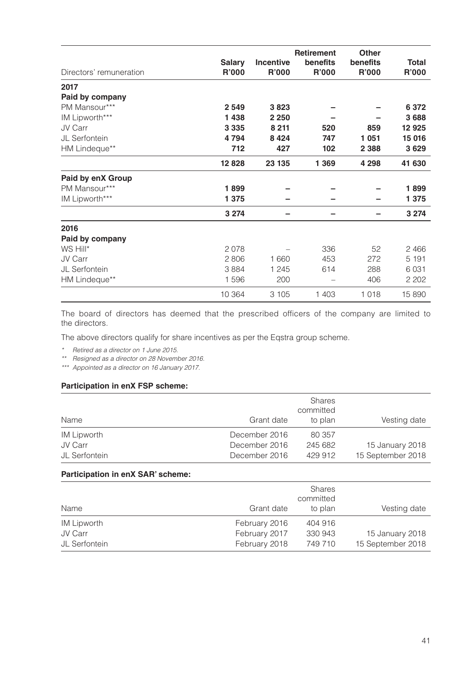|                         |               |                  | <b>Retirement</b> | <b>Other</b> |              |
|-------------------------|---------------|------------------|-------------------|--------------|--------------|
|                         | <b>Salary</b> | <b>Incentive</b> | benefits          | benefits     | <b>Total</b> |
| Directors' remuneration | <b>R'000</b>  | R'000            | R'000             | R'000        | R'000        |
| 2017                    |               |                  |                   |              |              |
| Paid by company         |               |                  |                   |              |              |
| PM Mansour***           | 2 5 4 9       | 3823             |                   |              | 6 3 7 2      |
| IM Lipworth***          | 1438          | 2 2 5 0          |                   |              | 3688         |
| JV Carr                 | 3 3 3 5       | 8 2 1 1          | 520               | 859          | 12 9 25      |
| JL Serfontein           | 4794          | 8 4 2 4          | 747               | 1 0 5 1      | 15 016       |
| HM Lindeque**           | 712           | 427              | 102               | 2 3 8 8      | 3629         |
|                         | 12 8 28       | 23 135           | 1 3 6 9           | 4 2 9 8      | 41 630       |
| Paid by enX Group       |               |                  |                   |              |              |
| PM Mansour***           | 1899          |                  |                   |              | 1899         |
| IM Lipworth***          | 1 375         |                  |                   |              | 1 375        |
|                         | 3 2 7 4       |                  |                   |              | 3 2 7 4      |
| 2016                    |               |                  |                   |              |              |
| Paid by company         |               |                  |                   |              |              |
| WS Hill*                | 2078          |                  | 336               | 52           | 2466         |
| JV Carr                 | 2806          | 1 660            | 453               | 272          | 5 1 9 1      |
| JL Serfontein           | 3884          | 1 2 4 5          | 614               | 288          | 6 0 31       |
| HM Lindeque**           | 1596          | 200              | $\qquad \qquad$   | 406          | 2 2 0 2      |
|                         | 10 3 64       | 3 1 0 5          | 1 4 0 3           | 1018         | 15 890       |

The board of directors has deemed that the prescribed officers of the company are limited to the directors.

The above directors qualify for share incentives as per the Eqstra group scheme.

*\* Retired as a director on 1 June 2015.*

*\*\* Resigned as a director on 28 November 2016.*

*\*\*\* Appointed as a director on 16 January 2017.*

# **Participation in enX FSP scheme:**

| Participation in enX SAR' scheme: |               |                                       |                   |
|-----------------------------------|---------------|---------------------------------------|-------------------|
| JL Serfontein                     | December 2016 | 429 912                               | 15 September 2018 |
| JV Carr                           | December 2016 | 245 682                               | 15 January 2018   |
| <b>IM Lipworth</b>                | December 2016 | 80 357                                |                   |
| Name                              | Grant date    | <b>Shares</b><br>committed<br>to plan | Vesting date      |

|                    |               | Shares    |                   |
|--------------------|---------------|-----------|-------------------|
|                    |               | committed |                   |
| Name               | Grant date    | to plan   | Vesting date      |
| <b>IM Lipworth</b> | February 2016 | 404 916   |                   |
| JV Carr            | February 2017 | 330 943   | 15 January 2018   |
| JL Serfontein      | February 2018 | 749 710   | 15 September 2018 |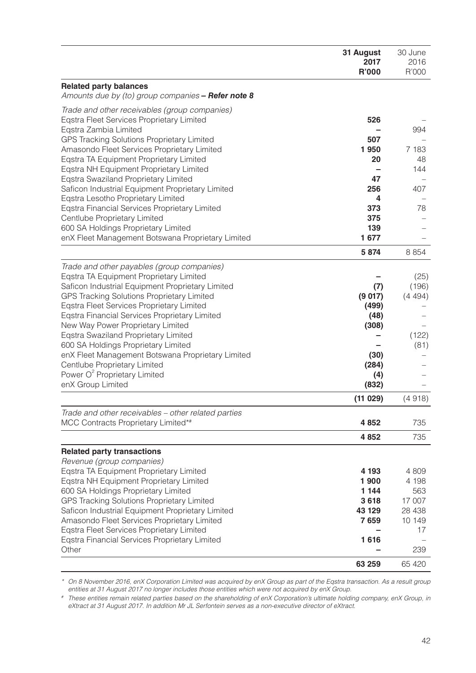|                                                                                                | 31 August<br>2017 | 30 June<br>2016  |
|------------------------------------------------------------------------------------------------|-------------------|------------------|
|                                                                                                | <b>R'000</b>      | R'000            |
| <b>Related party balances</b><br>Amounts due by (to) group companies - Refer note 8            |                   |                  |
| Trade and other receivables (group companies)                                                  |                   |                  |
| Eqstra Fleet Services Proprietary Limited<br>Eqstra Zambia Limited                             | 526               | 994              |
| GPS Tracking Solutions Proprietary Limited                                                     | 507               |                  |
| Amasondo Fleet Services Proprietary Limited                                                    | 1 950             | 7 1 8 3          |
| Eqstra TA Equipment Proprietary Limited                                                        | 20                | 48               |
| Eqstra NH Equipment Proprietary Limited                                                        |                   | 144              |
| Eqstra Swaziland Proprietary Limited<br>Saficon Industrial Equipment Proprietary Limited       | 47<br>256         | 407              |
| Eqstra Lesotho Proprietary Limited                                                             | 4                 |                  |
| Eqstra Financial Services Proprietary Limited                                                  | 373               | 78               |
| Centlube Proprietary Limited                                                                   | 375               |                  |
| 600 SA Holdings Proprietary Limited<br>enX Fleet Management Botswana Proprietary Limited       | 139<br>1677       |                  |
|                                                                                                |                   |                  |
|                                                                                                | 5 8 7 4           | 8854             |
| Trade and other payables (group companies)                                                     |                   |                  |
| Egstra TA Equipment Proprietary Limited                                                        |                   | (25)             |
| Saficon Industrial Equipment Proprietary Limited<br>GPS Tracking Solutions Proprietary Limited | (7)<br>(9 017)    | (196)<br>(4494)  |
| Eqstra Fleet Services Proprietary Limited                                                      | (499)             |                  |
| Eqstra Financial Services Proprietary Limited                                                  | (48)              |                  |
| New Way Power Proprietary Limited                                                              | (308)             |                  |
| Eqstra Swaziland Proprietary Limited<br>600 SA Holdings Proprietary Limited                    |                   | (122)<br>(81)    |
| enX Fleet Management Botswana Proprietary Limited                                              | (30)              |                  |
| Centlube Proprietary Limited                                                                   | (284)             |                  |
| Power O <sup>2</sup> Proprietary Limited                                                       | (4)               |                  |
| enX Group Limited                                                                              | (832)             |                  |
|                                                                                                | (11029)           | (4918)           |
| Trade and other receivables - other related parties                                            |                   |                  |
| MCC Contracts Proprietary Limited*#                                                            | 4 8 5 2           | 735              |
|                                                                                                | 4 8 5 2           | 735              |
| <b>Related party transactions</b>                                                              |                   |                  |
| Revenue (group companies)                                                                      |                   |                  |
| Eqstra TA Equipment Proprietary Limited<br>Eqstra NH Equipment Proprietary Limited             | 4 1 9 3<br>1 900  | 4 809<br>4 1 9 8 |
| 600 SA Holdings Proprietary Limited                                                            | 1 1 4 4           | 563              |
| <b>GPS Tracking Solutions Proprietary Limited</b>                                              | 3618              | 17 007           |
| Saficon Industrial Equipment Proprietary Limited                                               | 43 129            | 28 4 38          |
| Amasondo Fleet Services Proprietary Limited                                                    | 7659              | 10 149           |
| Eqstra Fleet Services Proprietary Limited                                                      |                   | 17               |
| Eqstra Financial Services Proprietary Limited<br>Other                                         | 1616              | 239              |
|                                                                                                |                   |                  |
|                                                                                                | 63 259            | 65 4 20          |

*\* On 8 November 2016, enX Corporation Limited was acquired by enX Group as part of the Eqstra transaction. As a result group entities at 31 August 2017 no longer includes those entities which were not acquired by enX Group.*

*# These entities remain related parties based on the shareholding of enX Corporation's ultimate holding company, enX Group, in eXtract at 31 August 2017. In addition Mr JL Serfontein serves as a non-executive director of eXtract.*